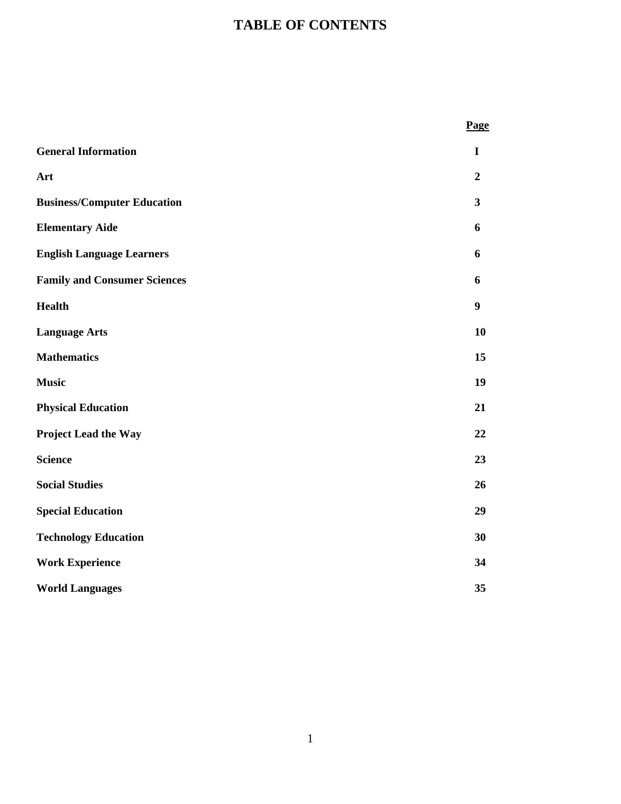## **TABLE OF CONTENTS**

|                                     | Page             |
|-------------------------------------|------------------|
| <b>General Information</b>          | $\mathbf I$      |
| Art                                 | $\boldsymbol{2}$ |
| <b>Business/Computer Education</b>  | $\mathbf{3}$     |
| <b>Elementary Aide</b>              | 6                |
| <b>English Language Learners</b>    | 6                |
| <b>Family and Consumer Sciences</b> | 6                |
| <b>Health</b>                       | 9                |
| <b>Language Arts</b>                | 10               |
| <b>Mathematics</b>                  | 15               |
| <b>Music</b>                        | 19               |
| <b>Physical Education</b>           | 21               |
| <b>Project Lead the Way</b>         | 22               |
| <b>Science</b>                      | 23               |
| <b>Social Studies</b>               | 26               |
| <b>Special Education</b>            | 29               |
| <b>Technology Education</b>         | 30               |
| <b>Work Experience</b>              | 34               |
| <b>World Languages</b>              | 35               |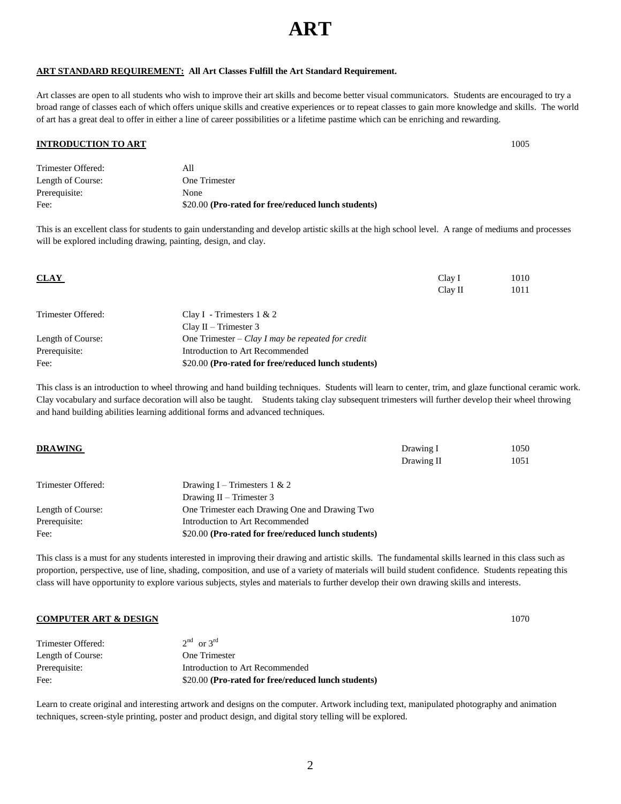2

## **ART**

#### **ART STANDARD REQUIREMENT: All Art Classes Fulfill the Art Standard Requirement.**

Art classes are open to all students who wish to improve their art skills and become better visual communicators. Students are encouraged to try a broad range of classes each of which offers unique skills and creative experiences or to repeat classes to gain more knowledge and skills. The world of art has a great deal to offer in either a line of career possibilities or a lifetime pastime which can be enriching and rewarding.

#### **INTRODUCTION TO ART** 1005

| Fee:               | \$20.00 (Pro-rated for free/reduced lunch students) |
|--------------------|-----------------------------------------------------|
| Prerequisite:      | None                                                |
| Length of Course:  | One Trimester                                       |
| Trimester Offered: | All                                                 |

This is an excellent class for students to gain understanding and develop artistic skills at the high school level. A range of mediums and processes will be explored including drawing, painting, design, and clay.

| <b>CLAY</b>        |                                                     | Clay I<br>Clay II | 1010<br>1011 |
|--------------------|-----------------------------------------------------|-------------------|--------------|
| Trimester Offered: | Clay I - Trimesters $1 & 2$                         |                   |              |
|                    | Clay II – Trimester $3$                             |                   |              |
| Length of Course:  | One Trimester – Clay I may be repeated for credit   |                   |              |
| Prerequisite:      | Introduction to Art Recommended                     |                   |              |
| Fee:               | \$20.00 (Pro-rated for free/reduced lunch students) |                   |              |

This class is an introduction to wheel throwing and hand building techniques. Students will learn to center, trim, and glaze functional ceramic work. Clay vocabulary and surface decoration will also be taught. Students taking clay subsequent trimesters will further develop their wheel throwing and hand building abilities learning additional forms and advanced techniques.

| <b>DRAWING</b>     |                                                     | Drawing I<br>Drawing II | 1050<br>1051 |
|--------------------|-----------------------------------------------------|-------------------------|--------------|
| Trimester Offered: | Drawing I – Trimesters 1 & 2                        |                         |              |
|                    | Drawing $II$ – Trimester 3                          |                         |              |
| Length of Course:  | One Trimester each Drawing One and Drawing Two      |                         |              |
| Prerequisite:      | Introduction to Art Recommended                     |                         |              |
| Fee:               | \$20.00 (Pro-rated for free/reduced lunch students) |                         |              |

This class is a must for any students interested in improving their drawing and artistic skills. The fundamental skills learned in this class such as proportion, perspective, use of line, shading, composition, and use of a variety of materials will build student confidence. Students repeating this class will have opportunity to explore various subjects, styles and materials to further develop their own drawing skills and interests.

#### **COMPUTER ART & DESIGN** 1070

| Trimester Offered: | $2nd$ or $3rd$                                      |
|--------------------|-----------------------------------------------------|
| Length of Course:  | One Trimester                                       |
| Prerequisite:      | Introduction to Art Recommended                     |
| Fee:               | \$20.00 (Pro-rated for free/reduced lunch students) |

Learn to create original and interesting artwork and designs on the computer. Artwork including text, manipulated photography and animation techniques, screen-style printing, poster and product design, and digital story telling will be explored.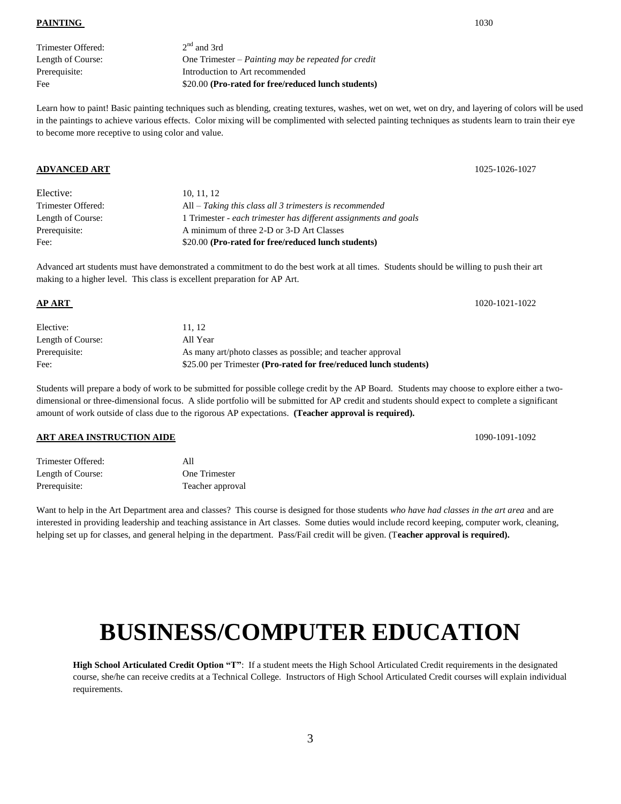**PAINTING** 1030

| Trimester Offered: |  |
|--------------------|--|
| Length of Course:  |  |
| Prerequisite:      |  |
| Fee                |  |

 $2<sup>nd</sup>$  and 3rd One Trimester – *Painting may be repeated for credit* Introduction to Art recommended \$20.00 (Pro-rated for free/reduced lunch students)

Learn how to paint! Basic painting techniques such as blending, creating textures, washes, wet on wet, wet on dry, and layering of colors will be used in the paintings to achieve various effects. Color mixing will be complimented with selected painting techniques as students learn to train their eye to become more receptive to using color and value.

#### **ADVANCED ART** 1025-1026-1027

| Fee:               | \$20.00 (Pro-rated for free/reduced lunch students)              |
|--------------------|------------------------------------------------------------------|
| Prerequisite:      | A minimum of three 2-D or 3-D Art Classes                        |
| Length of Course:  | 1 Trimester - each trimester has different assignments and goals |
| Trimester Offered: | $All - Taking this class all 3 times terms is recommended$       |
| Elective:          | 10, 11, 12                                                       |

Advanced art students must have demonstrated a commitment to do the best work at all times. Students should be willing to push their art making to a higher level. This class is excellent preparation for AP Art.

### **AP ART** 1020-1021-1022

| Elective:         | 11.12                                                             |
|-------------------|-------------------------------------------------------------------|
| Length of Course: | All Year                                                          |
| Prerequisite:     | As many art/photo classes as possible; and teacher approval       |
| Fee:              | \$25.00 per Trimester (Pro-rated for free/reduced lunch students) |

Students will prepare a body of work to be submitted for possible college credit by the AP Board. Students may choose to explore either a twodimensional or three-dimensional focus. A slide portfolio will be submitted for AP credit and students should expect to complete a significant amount of work outside of class due to the rigorous AP expectations. **(Teacher approval is required).**

#### **ART AREA INSTRUCTION AIDE** 1090-1091 1092

| Trimester Offered: | All              |
|--------------------|------------------|
| Length of Course:  | One Trimester    |
| Prerequisite:      | Teacher approval |

Want to help in the Art Department area and classes? This course is designed for those students *who have had classes in the art area* and are interested in providing leadership and teaching assistance in Art classes. Some duties would include record keeping, computer work, cleaning, helping set up for classes, and general helping in the department. Pass/Fail credit will be given. (T**eacher approval is required).**

# **BUSINESS/COMPUTER EDUCATION**

**High School Articulated Credit Option "T"**: If a student meets the High School Articulated Credit requirements in the designated course, she/he can receive credits at a Technical College. Instructors of High School Articulated Credit courses will explain individual requirements.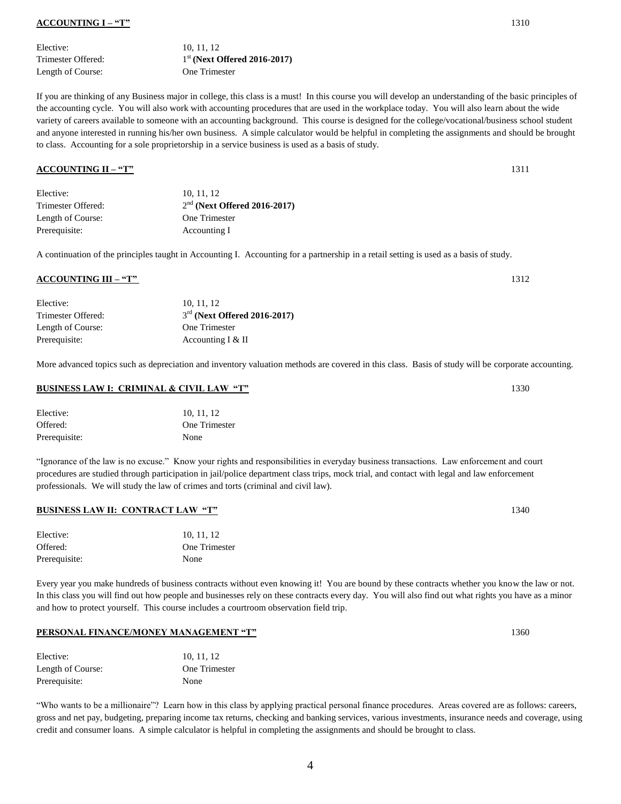#### **ACCOUNTING I – "T"** 1310

Elective: 10, 11, 12 Trimester Offered: 1 Length of Course: One Trimester

st **(Next Offered 2016-2017)**

If you are thinking of any Business major in college, this class is a must! In this course you will develop an understanding of the basic principles of the accounting cycle. You will also work with accounting procedures that are used in the workplace today. You will also learn about the wide variety of careers available to someone with an accounting background. This course is designed for the college/vocational/business school student and anyone interested in running his/her own business. A simple calculator would be helpful in completing the assignments and should be brought to class. Accounting for a sole proprietorship in a service business is used as a basis of study.

#### **ACCOUNTING II – "T"** 1311

| Elective:          | 10.11.12                       |
|--------------------|--------------------------------|
| Trimester Offered: | $2nd$ (Next Offered 2016-2017) |
| Length of Course:  | One Trimester                  |
| Prerequisite:      | Accounting I                   |

A continuation of the principles taught in Accounting I. Accounting for a partnership in a retail setting is used as a basis of study.

#### **ACCOUNTING III – "T"** 1312

| 10.11.12                       |
|--------------------------------|
| $3rd$ (Next Offered 2016-2017) |
| One Trimester                  |
| Accounting $I & II$            |
|                                |

More advanced topics such as depreciation and inventory valuation methods are covered in this class. Basis of study will be corporate accounting.

#### **BUSINESS LAW I: CRIMINAL & CIVIL LAW "T"** 1330

| Elective:     | 10, 11, 12    |
|---------------|---------------|
| Offered:      | One Trimester |
| Prerequisite: | None          |

"Ignorance of the law is no excuse." Know your rights and responsibilities in everyday business transactions. Law enforcement and court procedures are studied through participation in jail/police department class trips, mock trial, and contact with legal and law enforcement professionals. We will study the law of crimes and torts (criminal and civil law).

#### **BUSINESS LAW II: CONTRACT LAW "T"** 1340

| Elective:     | 10, 11, 12    |
|---------------|---------------|
| Offered:      | One Trimester |
| Prerequisite: | None          |

Every year you make hundreds of business contracts without even knowing it! You are bound by these contracts whether you know the law or not. In this class you will find out how people and businesses rely on these contracts every day. You will also find out what rights you have as a minor and how to protect yourself. This course includes a courtroom observation field trip.

#### **PERSONAL FINANCE/MONEY MANAGEMENT "T"** 1360

| Elective:         | 10, 11, 12    |
|-------------------|---------------|
| Length of Course: | One Trimester |
| Prerequisite:     | None          |

"Who wants to be a millionaire"? Learn how in this class by applying practical personal finance procedures. Areas covered are as follows: careers, gross and net pay, budgeting, preparing income tax returns, checking and banking services, various investments, insurance needs and coverage, using credit and consumer loans. A simple calculator is helpful in completing the assignments and should be brought to class.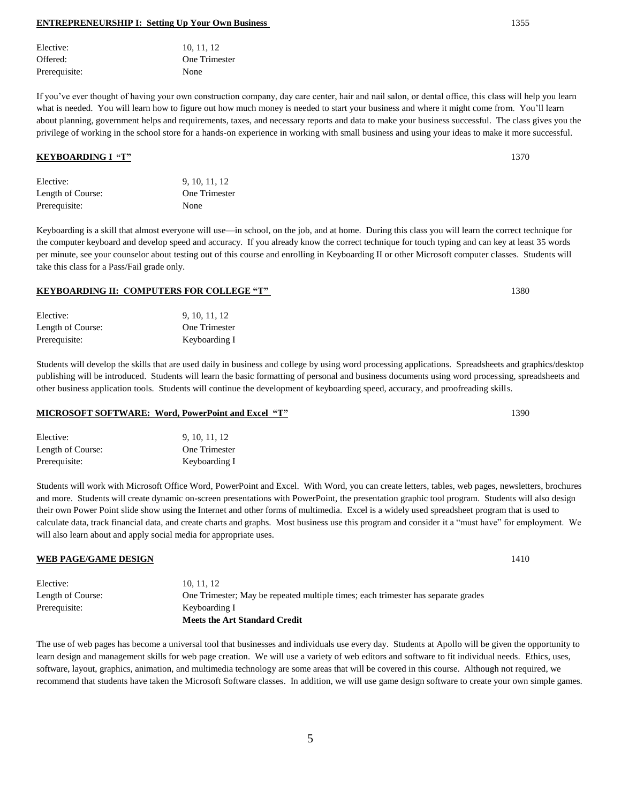| Elective:         | 9, 10, 11, 12 |
|-------------------|---------------|
| Length of Course: | One Trimester |
| Prerequisite:     | Keyboarding I |

Students will develop the skills that are used daily in business and college by using word processing applications. Spreadsheets and graphics/desktop publishing will be introduced. Students will learn the basic formatting of personal and business documents using word processing, spreadsheets and other business application tools. Students will continue the development of keyboarding speed, accuracy, and proofreading skills.

#### **MICROSOFT SOFTWARE: Word, PowerPoint and Excel "T"** 1390

| Elective:         | 9, 10, 11, 12 |
|-------------------|---------------|
| Length of Course: | One Trimester |
| Prerequisite:     | Keyboarding I |

Students will work with Microsoft Office Word, PowerPoint and Excel. With Word, you can create letters, tables, web pages, newsletters, brochures and more. Students will create dynamic on-screen presentations with PowerPoint, the presentation graphic tool program. Students will also design their own Power Point slide show using the Internet and other forms of multimedia. Excel is a widely used spreadsheet program that is used to calculate data, track financial data, and create charts and graphs. Most business use this program and consider it a "must have" for employment. We will also learn about and apply social media for appropriate uses.

#### **WEB PAGE/GAME DESIGN** 1410

|                   | <b>Meets the Art Standard Credit</b>                                              |
|-------------------|-----------------------------------------------------------------------------------|
| Prerequisite:     | Keyboarding I                                                                     |
| Length of Course: | One Trimester; May be repeated multiple times; each trimester has separate grades |
| Elective:         | 10.11.12                                                                          |

The use of web pages has become a universal tool that businesses and individuals use every day. Students at Apollo will be given the opportunity to learn design and management skills for web page creation. We will use a variety of web editors and software to fit individual needs. Ethics, uses, software, layout, graphics, animation, and multimedia technology are some areas that will be covered in this course. Although not required, we recommend that students have taken the Microsoft Software classes. In addition, we will use game design software to create your own simple games.

5

| Elective:     | 10, 11, 12    |
|---------------|---------------|
| Offered:      | One Trimester |
| Prerequisite: | None          |

Elective: 9, 10, 11, 12 Length of Course: One Trimester

Prerequisite: None

If you've ever thought of having your own construction company, day care center, hair and nail salon, or dental office, this class will help you learn what is needed. You will learn how to figure out how much money is needed to start your business and where it might come from. You'll learn about planning, government helps and requirements, taxes, and necessary reports and data to make your business successful. The class gives you the privilege of working in the school store for a hands-on experience in working with small business and using your ideas to make it more successful.

#### Keyboarding is a skill that almost everyone will use—in school, on the job, and at home. During this class you will learn the correct technique for the computer keyboard and develop speed and accuracy. If you already know the correct technique for touch typing and can key at least 35 words per minute, see your counselor about testing out of this course and enrolling in Keyboarding II or other Microsoft computer classes. Students will take this class for a Pass/Fail grade only.

#### **KEYBOARDING II: COMPUTERS FOR COLLEGE "T"** 1380

| Elective:         | 9, 10, 11, 12 |
|-------------------|---------------|
| Length of Course: | One Trimester |
| Prerequisite:     | Keyboarding I |

**KEYBOARDING I "T"** 1370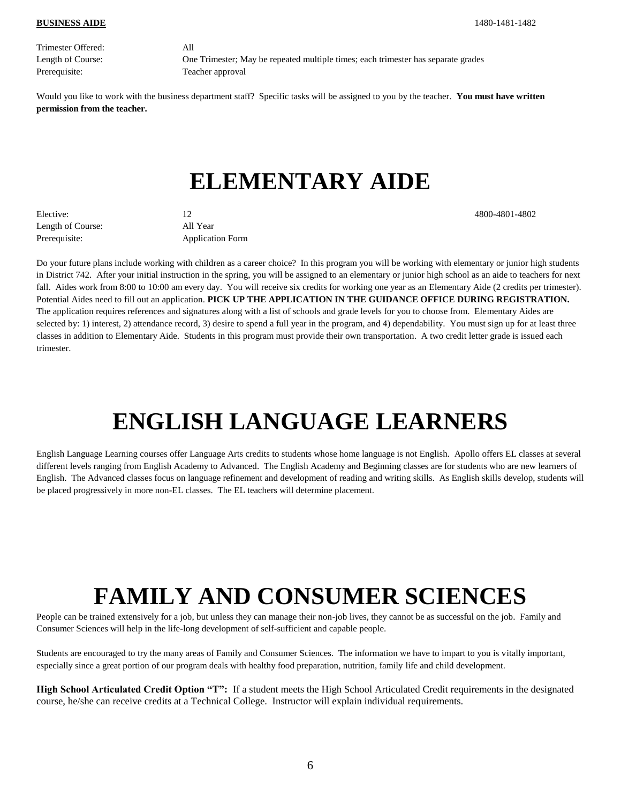Trimester Offered: All Prerequisite: Teacher approval

Length of Course: One Trimester; May be repeated multiple times; each trimester has separate grades

Would you like to work with the business department staff? Specific tasks will be assigned to you by the teacher. **You must have written permission from the teacher.**

## **ELEMENTARY AIDE**

Elective: 12 4800-4801-4802 Length of Course: All Year Prerequisite: Application Form

Do your future plans include working with children as a career choice? In this program you will be working with elementary or junior high students in District 742. After your initial instruction in the spring, you will be assigned to an elementary or junior high school as an aide to teachers for next fall. Aides work from 8:00 to 10:00 am every day. You will receive six credits for working one year as an Elementary Aide (2 credits per trimester). Potential Aides need to fill out an application. **PICK UP THE APPLICATION IN THE GUIDANCE OFFICE DURING REGISTRATION.** The application requires references and signatures along with a list of schools and grade levels for you to choose from. Elementary Aides are selected by: 1) interest, 2) attendance record, 3) desire to spend a full year in the program, and 4) dependability. You must sign up for at least three classes in addition to Elementary Aide. Students in this program must provide their own transportation. A two credit letter grade is issued each trimester.

# **ENGLISH LANGUAGE LEARNERS**

English Language Learning courses offer Language Arts credits to students whose home language is not English. Apollo offers EL classes at several different levels ranging from English Academy to Advanced. The English Academy and Beginning classes are for students who are new learners of English. The Advanced classes focus on language refinement and development of reading and writing skills. As English skills develop, students will be placed progressively in more non-EL classes. The EL teachers will determine placement.

# **FAMILY AND CONSUMER SCIENCES**

People can be trained extensively for a job, but unless they can manage their non-job lives, they cannot be as successful on the job. Family and Consumer Sciences will help in the life-long development of self-sufficient and capable people.

Students are encouraged to try the many areas of Family and Consumer Sciences. The information we have to impart to you is vitally important, especially since a great portion of our program deals with healthy food preparation, nutrition, family life and child development.

**High School Articulated Credit Option "T":** If a student meets the High School Articulated Credit requirements in the designated course, he/she can receive credits at a Technical College. Instructor will explain individual requirements.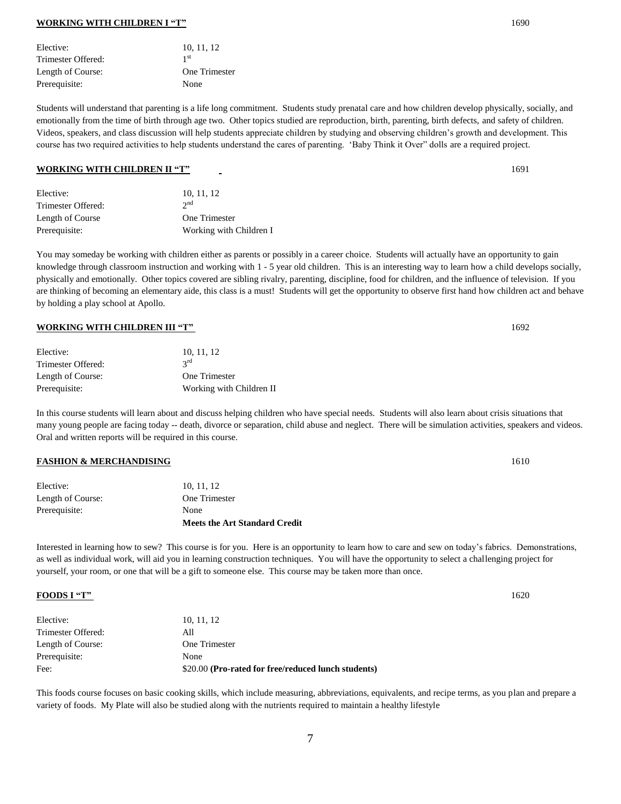#### **WORKING WITH CHILDREN I "T"** 1690

| Elective:          | 10, 11, 12      |
|--------------------|-----------------|
| Trimester Offered: | 1 <sup>st</sup> |
| Length of Course:  | One Trimester   |
| Prerequisite:      | None            |
|                    |                 |

Students will understand that parenting is a life long commitment. Students study prenatal care and how children develop physically, socially, and emotionally from the time of birth through age two. Other topics studied are reproduction, birth, parenting, birth defects, and safety of children. Videos, speakers, and class discussion will help students appreciate children by studying and observing children's growth and development. This course has two required activities to help students understand the cares of parenting. 'Baby Think it Over" dolls are a required project.

#### **WORKING WITH CHILDREN II "T"** 1691

| 10, 11, 12              |
|-------------------------|
| $2^{nd}$                |
| One Trimester           |
| Working with Children I |
|                         |

You may someday be working with children either as parents or possibly in a career choice. Students will actually have an opportunity to gain knowledge through classroom instruction and working with 1 - 5 year old children. This is an interesting way to learn how a child develops socially, physically and emotionally. Other topics covered are sibling rivalry, parenting, discipline, food for children, and the influence of television. If you are thinking of becoming an elementary aide, this class is a must! Students will get the opportunity to observe first hand how children act and behave by holding a play school at Apollo.

#### **WORKING WITH CHILDREN III "T"** 1692

| Elective:          | 10.11.12                 |
|--------------------|--------------------------|
| Trimester Offered: | $2^{\text{rd}}$          |
| Length of Course:  | One Trimester            |
| Prerequisite:      | Working with Children II |

In this course students will learn about and discuss helping children who have special needs. Students will also learn about crisis situations that many young people are facing today -- death, divorce or separation, child abuse and neglect. There will be simulation activities, speakers and videos. Oral and written reports will be required in this course.

#### **FASHION & MERCHANDISING** 1610

|                   | <b>Meets the Art Standard Credit</b> |
|-------------------|--------------------------------------|
| Prerequisite:     | None                                 |
| Length of Course: | One Trimester                        |
| Elective:         | 10.11.12                             |

Interested in learning how to sew? This course is for you. Here is an opportunity to learn how to care and sew on today's fabrics. Demonstrations, as well as individual work, will aid you in learning construction techniques. You will have the opportunity to select a challenging project for yourself, your room, or one that will be a gift to someone else. This course may be taken more than once.

#### **FOODS I "T"** 1620

| Elective:          | 10.11.12                                            |
|--------------------|-----------------------------------------------------|
| Trimester Offered: | All                                                 |
| Length of Course:  | One Trimester                                       |
| Prerequisite:      | None                                                |
| Fee:               | \$20.00 (Pro-rated for free/reduced lunch students) |

This foods course focuses on basic cooking skills, which include measuring, abbreviations, equivalents, and recipe terms, as you plan and prepare a variety of foods. My Plate will also be studied along with the nutrients required to maintain a healthy lifestyle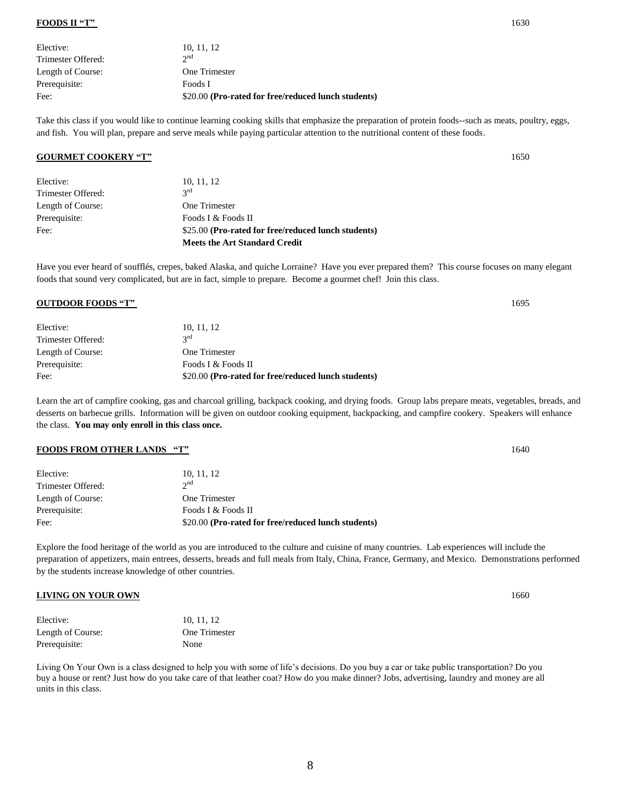#### **FOODS II "T"** 1630

| Elective:          | 10, 11, 12                                          |
|--------------------|-----------------------------------------------------|
| Trimester Offered: | $\gamma$ nd                                         |
| Length of Course:  | One Trimester                                       |
| Prerequisite:      | Foods I                                             |
| Fee:               | \$20.00 (Pro-rated for free/reduced lunch students) |

Take this class if you would like to continue learning cooking skills that emphasize the preparation of protein foods--such as meats, poultry, eggs, and fish. You will plan, prepare and serve meals while paying particular attention to the nutritional content of these foods.

#### **GOURMET COOKERY "T"** 1650

|                    | <b>Meets the Art Standard Credit</b>                |
|--------------------|-----------------------------------------------------|
| Fee:               | \$25.00 (Pro-rated for free/reduced lunch students) |
| Prerequisite:      | Foods I & Foods II                                  |
| Length of Course:  | One Trimester                                       |
| Trimester Offered: | $2^{\text{rd}}$                                     |
| Elective:          | 10, 11, 12                                          |

Have you ever heard of soufflés, crepes, baked Alaska, and quiche Lorraine? Have you ever prepared them? This course focuses on many elegant foods that sound very complicated, but are in fact, simple to prepare. Become a gourmet chef! Join this class.

#### **OUTDOOR FOODS "T"** 1695

| Elective:          | 10, 11, 12                                          |
|--------------------|-----------------------------------------------------|
| Trimester Offered: | $2^{\text{rd}}$                                     |
| Length of Course:  | One Trimester                                       |
| Prerequisite:      | Foods I & Foods II                                  |
| Fee:               | \$20.00 (Pro-rated for free/reduced lunch students) |

Learn the art of campfire cooking, gas and charcoal grilling, backpack cooking, and drying foods. Group labs prepare meats, vegetables, breads, and desserts on barbecue grills. Information will be given on outdoor cooking equipment, backpacking, and campfire cookery. Speakers will enhance the class. **You may only enroll in this class once.**

#### **FOODS FROM OTHER LANDS "T"** 1640

| Elective:          | 10, 11, 12                                          |
|--------------------|-----------------------------------------------------|
| Trimester Offered: | $2^{nd}$                                            |
| Length of Course:  | One Trimester                                       |
| Prerequisite:      | Foods I & Foods II                                  |
| Fee:               | \$20.00 (Pro-rated for free/reduced lunch students) |

Explore the food heritage of the world as you are introduced to the culture and cuisine of many countries. Lab experiences will include the preparation of appetizers, main entrees, desserts, breads and full meals from Italy, China, France, Germany, and Mexico. Demonstrations performed by the students increase knowledge of other countries.

#### **LIVING ON YOUR OWN** 1660

| Elective:         | 10, 11, 12    |
|-------------------|---------------|
| Length of Course: | One Trimester |
| Prerequisite:     | None          |

Living On Your Own is a class designed to help you with some of life's decisions. Do you buy a car or take public transportation? Do you buy a house or rent? Just how do you take care of that leather coat? How do you make dinner? Jobs, advertising, laundry and money are all units in this class.

8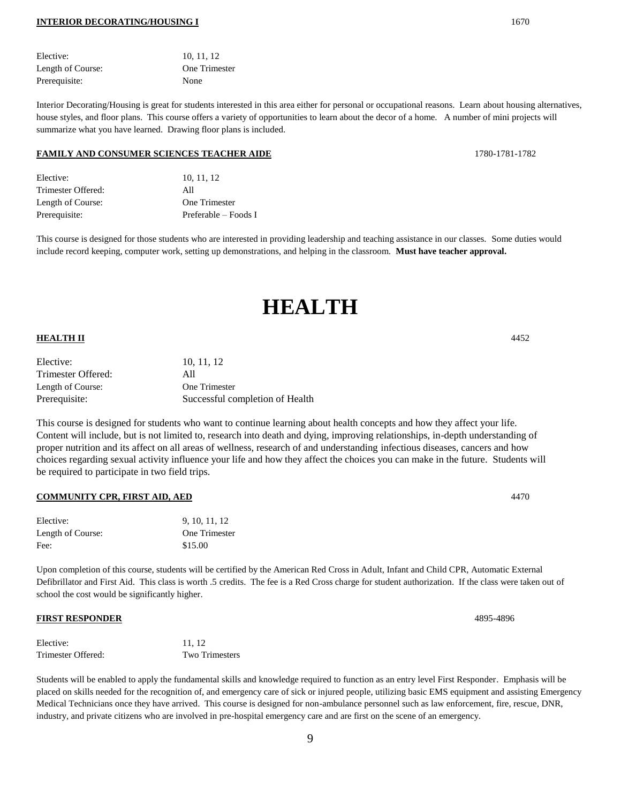#### **INTERIOR DECORATING/HOUSING I** 1670

Elective: 10, 11, 12 Length of Course: One Trimester

Interior Decorating/Housing is great for students interested in this area either for personal or occupational reasons. Learn about housing alternatives, house styles, and floor plans. This course offers a variety of opportunities to learn about the decor of a home. A number of mini projects will summarize what you have learned. Drawing floor plans is included.

#### **FAMILY AND CONSUMER SCIENCES TEACHER AIDE** 1780-1781-1782

| Elective:          | 10, 11, 12           |
|--------------------|----------------------|
| Trimester Offered: | All                  |
| Length of Course:  | One Trimester        |
| Prerequisite:      | Preferable – Foods I |

This course is designed for those students who are interested in providing leadership and teaching assistance in our classes. Some duties would include record keeping, computer work, setting up demonstrations, and helping in the classroom. **Must have teacher approval.**

## **HEALTH**

#### **HEALTH II** 4452

| Elective:          | 10.11.12                        |
|--------------------|---------------------------------|
| Trimester Offered: | AII                             |
| Length of Course:  | One Trimester                   |
| Prerequisite:      | Successful completion of Health |

This course is designed for students who want to continue learning about health concepts and how they affect your life. Content will include, but is not limited to, research into death and dying, improving relationships, in-depth understanding of proper nutrition and its affect on all areas of wellness, research of and understanding infectious diseases, cancers and how choices regarding sexual activity influence your life and how they affect the choices you can make in the future. Students will be required to participate in two field trips.

#### **COMMUNITY CPR, FIRST AID, AED** 4470

| Elective:         | 9, 10, 11, 12 |
|-------------------|---------------|
| Length of Course: | One Trimester |
| Fee:              | \$15.00       |

Upon completion of this course, students will be certified by the American Red Cross in Adult, Infant and Child CPR, Automatic External Defibrillator and First Aid. This class is worth .5 credits. The fee is a Red Cross charge for student authorization. If the class were taken out of school the cost would be significantly higher.

#### **FIRST RESPONDER** 4895-4896

| Elective:          | 11.12          |
|--------------------|----------------|
| Trimester Offered: | Two Trimesters |

Students will be enabled to apply the fundamental skills and knowledge required to function as an entry level First Responder. Emphasis will be placed on skills needed for the recognition of, and emergency care of sick or injured people, utilizing basic EMS equipment and assisting Emergency Medical Technicians once they have arrived. This course is designed for non-ambulance personnel such as law enforcement, fire, rescue, DNR, industry, and private citizens who are involved in pre-hospital emergency care and are first on the scene of an emergency.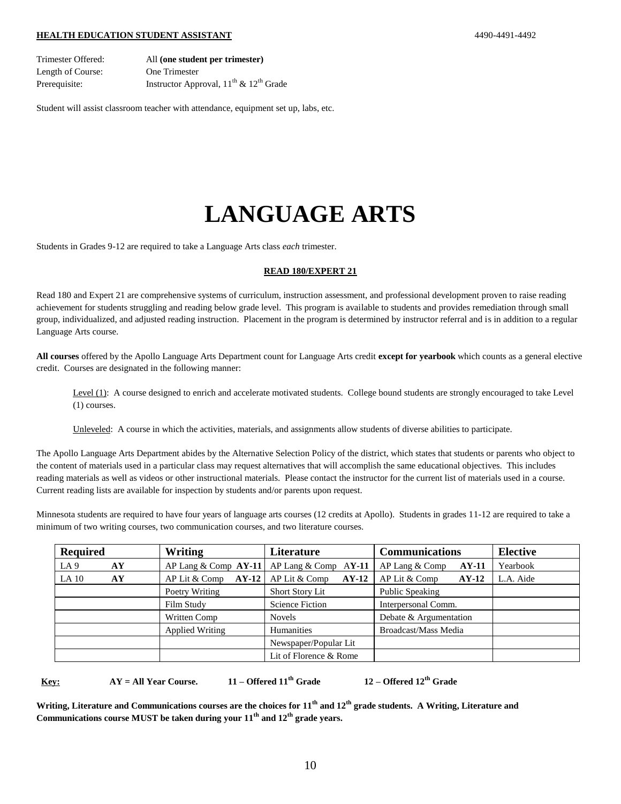#### **HEALTH EDUCATION STUDENT ASSISTANT** 4490-4491-4492

Trimester Offered: All **(one student per trimester)** Length of Course: One Trimester Prerequisite: Instructor Approval,  $11<sup>th</sup>$  &  $12<sup>th</sup>$  Grade

Student will assist classroom teacher with attendance, equipment set up, labs, etc.

# **LANGUAGE ARTS**

Students in Grades 9-12 are required to take a Language Arts class *each* trimester.

#### **READ 180/EXPERT 21**

Read 180 and Expert 21 are comprehensive systems of curriculum, instruction assessment, and professional development proven to raise reading achievement for students struggling and reading below grade level. This program is available to students and provides remediation through small group, individualized, and adjusted reading instruction. Placement in the program is determined by instructor referral and is in addition to a regular Language Arts course.

**All courses** offered by the Apollo Language Arts Department count for Language Arts credit **except for yearbook** which counts as a general elective credit. Courses are designated in the following manner:

Level (1): A course designed to enrich and accelerate motivated students. College bound students are strongly encouraged to take Level (1) courses.

Unleveled: A course in which the activities, materials, and assignments allow students of diverse abilities to participate.

The Apollo Language Arts Department abides by the Alternative Selection Policy of the district, which states that students or parents who object to the content of materials used in a particular class may request alternatives that will accomplish the same educational objectives. This includes reading materials as well as videos or other instructional materials. Please contact the instructor for the current list of materials used in a course. Current reading lists are available for inspection by students and/or parents upon request.

Minnesota students are required to have four years of language arts courses (12 credits at Apollo). Students in grades 11-12 are required to take a minimum of two writing courses, two communication courses, and two literature courses.

| <b>Required</b>       | Writing                  | <b>Literature</b>        | <b>Communications</b>     | <b>Elective</b> |
|-----------------------|--------------------------|--------------------------|---------------------------|-----------------|
| LA <sub>9</sub><br>AY | AP Lang & Comp $AY-11$   | AP Lang $& Comp$ AY-11   | AP Lang & Comp<br>$AY-11$ | Yearbook        |
| LA 10<br>AY           | AP Lit & Comp<br>$AY-12$ | AP Lit & Comp<br>$AY-12$ | AP Lit & Comp<br>$AY-12$  | L.A. Aide       |
|                       | Poetry Writing           | <b>Short Story Lit</b>   | Public Speaking           |                 |
|                       | Film Study               | <b>Science Fiction</b>   | Interpersonal Comm.       |                 |
|                       | Written Comp             | <b>Novels</b>            | Debate & Argumentation    |                 |
|                       | Applied Writing          | Humanities               | Broadcast/Mass Media      |                 |
|                       |                          | Newspaper/Popular Lit    |                           |                 |
|                       |                          | Lit of Florence & Rome   |                           |                 |

 **Key: AY = All Year Course. 11 – Offered 11th Grade 12 – Offered 12th Grade**

**Writing, Literature and Communications courses are the choices for 11th and 12th grade students. A Writing, Literature and Communications course MUST be taken during your 11th and 12th grade years.**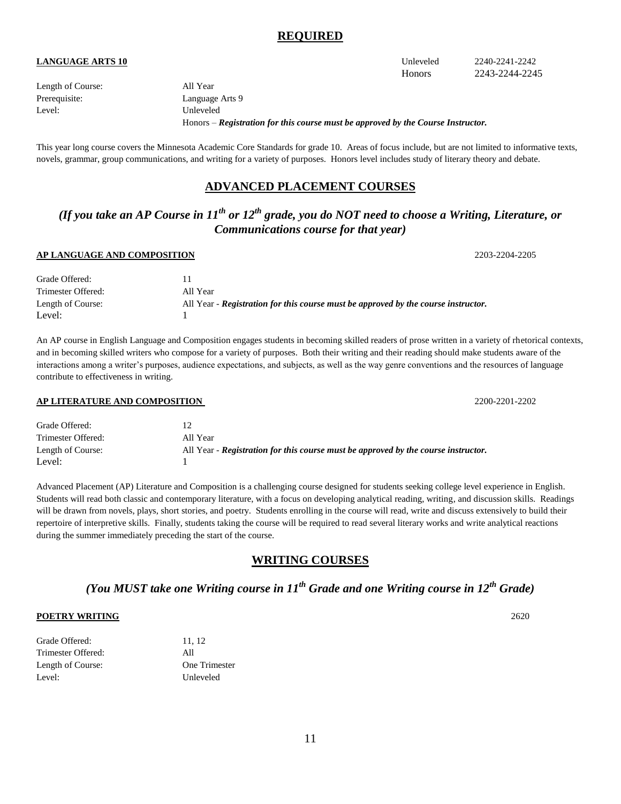### **REQUIRED**

### **LANGUAGE ARTS 10** Unleveled 2240-2241-2242

Length of Course: All Year Level: Unleveled

Prerequisite: Language Arts 9 Honors – *Registration for this course must be approved by the Course Instructor.*

This year long course covers the Minnesota Academic Core Standards for grade 10. Areas of focus include, but are not limited to informative texts, novels, grammar, group communications, and writing for a variety of purposes. Honors level includes study of literary theory and debate.

### **ADVANCED PLACEMENT COURSES**

### *(If you take an AP Course in 11th or 12th grade, you do NOT need to choose a Writing, Literature, or Communications course for that year)*

#### **AP LANGUAGE AND COMPOSITION** 2203-2204-2205

| Grade Offered:     |                                                                                    |
|--------------------|------------------------------------------------------------------------------------|
| Trimester Offered: | All Year                                                                           |
| Length of Course:  | All Year - Registration for this course must be approved by the course instructor. |
| Level:             |                                                                                    |

An AP course in English Language and Composition engages students in becoming skilled readers of prose written in a variety of rhetorical contexts, and in becoming skilled writers who compose for a variety of purposes. Both their writing and their reading should make students aware of the interactions among a writer's purposes, audience expectations, and subjects, as well as the way genre conventions and the resources of language contribute to effectiveness in writing.

#### **AP LITERATURE AND COMPOSITION** 2200-2201-2202

| Grade Offered:     |                                                                                    |
|--------------------|------------------------------------------------------------------------------------|
| Trimester Offered: | All Year                                                                           |
| Length of Course:  | All Year - Registration for this course must be approved by the course instructor. |
| Level:             |                                                                                    |

Advanced Placement (AP) Literature and Composition is a challenging course designed for students seeking college level experience in English. Students will read both classic and contemporary literature, with a focus on developing analytical reading, writing, and discussion skills. Readings will be drawn from novels, plays, short stories, and poetry. Students enrolling in the course will read, write and discuss extensively to build their repertoire of interpretive skills. Finally, students taking the course will be required to read several literary works and write analytical reactions during the summer immediately preceding the start of the course.

### **WRITING COURSES**

### *(You MUST take one Writing course in 11th Grade and one Writing course in 12th Grade)*

#### **POETRY WRITING** 2620

| Grade Offered:     | 11, 12        |
|--------------------|---------------|
| Trimester Offered: | All           |
| Length of Course:  | One Trimester |
| Level:             | Unleveled     |

Honors 2243-2244-2245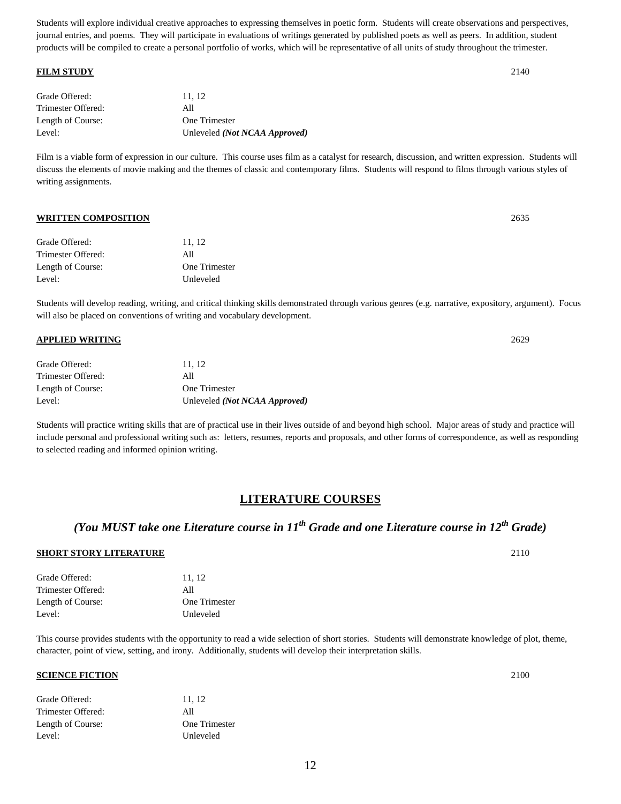Students will explore individual creative approaches to expressing themselves in poetic form. Students will create observations and perspectives, journal entries, and poems. They will participate in evaluations of writings generated by published poets as well as peers. In addition, student products will be compiled to create a personal portfolio of works, which will be representative of all units of study throughout the trimester.

#### **FILM STUDY** 2140

| Grade Offered:     | 11.12                                  |
|--------------------|----------------------------------------|
| Trimester Offered: | All                                    |
| Length of Course:  | One Trimester                          |
| Level:             | Unleveled ( <i>Not NCAA Approved</i> ) |

Film is a viable form of expression in our culture. This course uses film as a catalyst for research, discussion, and written expression. Students will discuss the elements of movie making and the themes of classic and contemporary films. Students will respond to films through various styles of writing assignments.

#### **WRITTEN COMPOSITION** 2635

| Grade Offered:     | 11.12                |
|--------------------|----------------------|
| Trimester Offered: | All                  |
| Length of Course:  | <b>One Trimester</b> |
| Level:             | Unleveled            |

Students will develop reading, writing, and critical thinking skills demonstrated through various genres (e.g. narrative, expository, argument). Focus will also be placed on conventions of writing and vocabulary development.

#### **APPLIED WRITING** 2629

| Grade Offered:     | 11.12                                  |
|--------------------|----------------------------------------|
| Trimester Offered: | All                                    |
| Length of Course:  | One Trimester                          |
| Level:             | Unleveled ( <i>Not NCAA Approved</i> ) |

Students will practice writing skills that are of practical use in their lives outside of and beyond high school. Major areas of study and practice will include personal and professional writing such as: letters, resumes, reports and proposals, and other forms of correspondence, as well as responding to selected reading and informed opinion writing.

### **LITERATURE COURSES**

### *(You MUST take one Literature course in 11th Grade and one Literature course in 12th Grade)*

#### **SHORT STORY LITERATURE** 2110

| 11.12         |
|---------------|
| All           |
| One Trimester |
| Unleveled     |
|               |

This course provides students with the opportunity to read a wide selection of short stories. Students will demonstrate knowledge of plot, theme, character, point of view, setting, and irony. Additionally, students will develop their interpretation skills.

#### **SCIENCE FICTION** 2100

| 11.12         |
|---------------|
| All           |
| One Trimester |
| Unleveled     |
|               |

12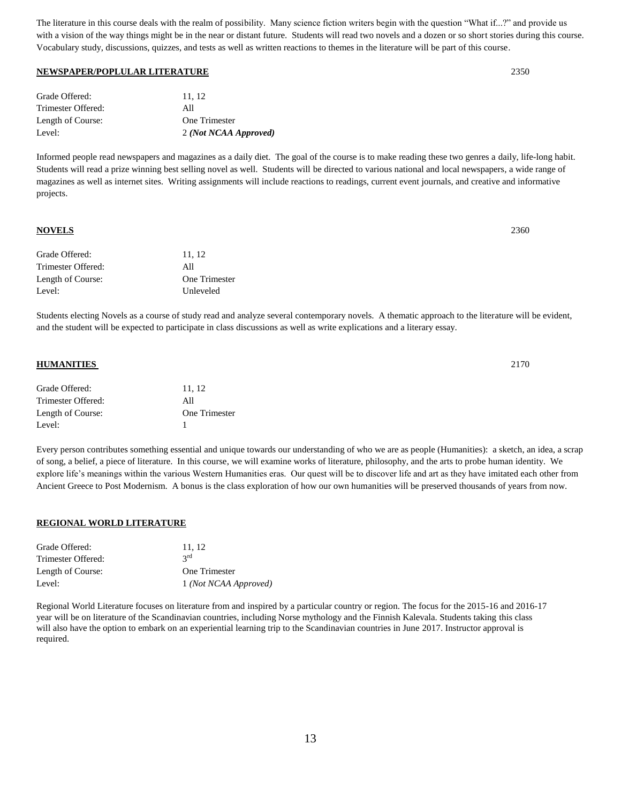The literature in this course deals with the realm of possibility. Many science fiction writers begin with the question "What if...?" and provide us with a vision of the way things might be in the near or distant future. Students will read two novels and a dozen or so short stories during this course. Vocabulary study, discussions, quizzes, and tests as well as written reactions to themes in the literature will be part of this course.

#### **NEWSPAPER/POPLULAR LITERATURE** 2350

| Grade Offered:     | 11.12                 |
|--------------------|-----------------------|
| Trimester Offered: | All                   |
| Length of Course:  | One Trimester         |
| Level:             | 2 (Not NCAA Approved) |

Informed people read newspapers and magazines as a daily diet. The goal of the course is to make reading these two genres a daily, life-long habit. Students will read a prize winning best selling novel as well. Students will be directed to various national and local newspapers, a wide range of magazines as well as internet sites. Writing assignments will include reactions to readings, current event journals, and creative and informative projects.

#### **NOVELS** 2360

| Grade Offered:     | 11, 12        |
|--------------------|---------------|
| Trimester Offered: | All           |
| Length of Course:  | One Trimester |
| Level:             | Unleveled     |

Students electing Novels as a course of study read and analyze several contemporary novels. A thematic approach to the literature will be evident, and the student will be expected to participate in class discussions as well as write explications and a literary essay.

#### **HUMANITIES** 2170

| Grade Offered:     | 11, 12               |
|--------------------|----------------------|
| Trimester Offered: | All                  |
| Length of Course:  | <b>One Trimester</b> |
| Level:             |                      |

Every person contributes something essential and unique towards our understanding of who we are as people (Humanities): a sketch, an idea, a scrap of song, a belief, a piece of literature. In this course, we will examine works of literature, philosophy, and the arts to probe human identity. We explore life's meanings within the various Western Humanities eras. Our quest will be to discover life and art as they have imitated each other from Ancient Greece to Post Modernism. A bonus is the class exploration of how our own humanities will be preserved thousands of years from now.

#### **REGIONAL WORLD LITERATURE**

| Grade Offered:     | 11.12                 |
|--------------------|-----------------------|
| Trimester Offered: | $2^{\text{rd}}$       |
| Length of Course:  | One Trimester         |
| Level:             | 1 (Not NCAA Approved) |

Regional World Literature focuses on literature from and inspired by a particular country or region. The focus for the 2015-16 and 2016-17 year will be on literature of the Scandinavian countries, including Norse mythology and the Finnish Kalevala. Students taking this class will also have the option to embark on an experiential learning trip to the Scandinavian countries in June 2017. Instructor approval is required.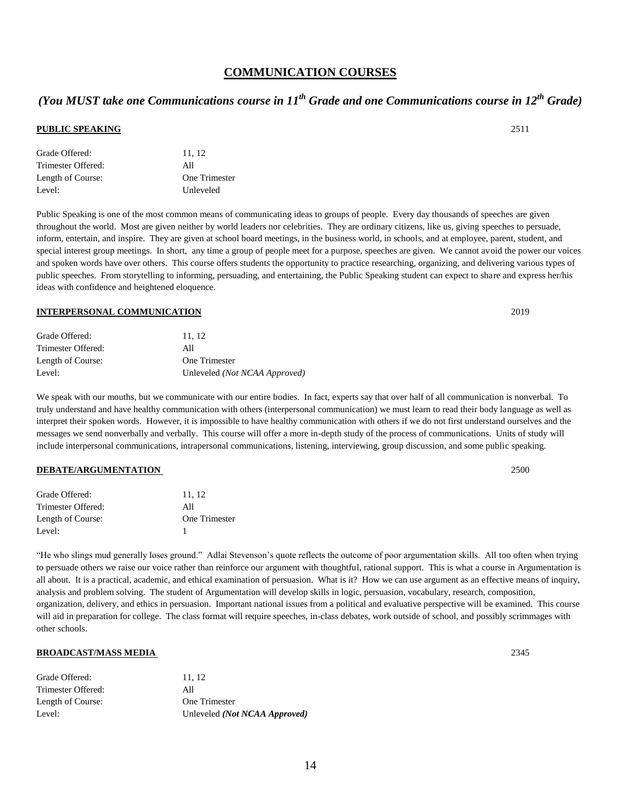### **COMMUNICATION COURSES**

## *(You MUST take one Communications course in 11th Grade and one Communications course in 12th Grade)*

#### **PUBLIC SPEAKING** 2511

| 11, 12        |
|---------------|
| All           |
| One Trimester |
| Unleveled     |
|               |

Public Speaking is one of the most common means of communicating ideas to groups of people. Every day thousands of speeches are given throughout the world. Most are given neither by world leaders nor celebrities. They are ordinary citizens, like us, giving speeches to persuade, inform, entertain, and inspire. They are given at school board meetings, in the business world, in schools, and at employee, parent, student, and special interest group meetings. In short, any time a group of people meet for a purpose, speeches are given. We cannot avoid the power our voices and spoken words have over others. This course offers students the opportunity to practice researching, organizing, and delivering various types of public speeches. From storytelling to informing, persuading, and entertaining, the Public Speaking student can expect to share and express her/his ideas with confidence and heightened eloquence.

#### **INTERPERSONAL COMMUNICATION** 2019

| 11.12                         |
|-------------------------------|
| All                           |
| One Trimester                 |
| Unleveled (Not NCAA Approved) |
|                               |

We speak with our mouths, but we communicate with our entire bodies. In fact, experts say that over half of all communication is nonverbal. To truly understand and have healthy communication with others (interpersonal communication) we must learn to read their body language as well as interpret their spoken words. However, it is impossible to have healthy communication with others if we do not first understand ourselves and the messages we send nonverbally and verbally. This course will offer a more in-depth study of the process of communications. Units of study will include interpersonal communications, intrapersonal communications, listening, interviewing, group discussion, and some public speaking.

#### **DEBATE/ARGUMENTATION** 2500

| Grade Offered:     | 11, 12        |
|--------------------|---------------|
| Trimester Offered: | All           |
| Length of Course:  | One Trimester |
| Level:             |               |

"He who slings mud generally loses ground." Adlai Stevenson's quote reflects the outcome of poor argumentation skills. All too often when trying to persuade others we raise our voice rather than reinforce our argument with thoughtful, rational support. This is what a course in Argumentation is all about. It is a practical, academic, and ethical examination of persuasion. What is it? How we can use argument as an effective means of inquiry, analysis and problem solving. The student of Argumentation will develop skills in logic, persuasion, vocabulary, research, composition, organization, delivery, and ethics in persuasion. Important national issues from a political and evaluative perspective will be examined. This course will aid in preparation for college. The class format will require speeches, in-class debates, work outside of school, and possibly scrimmages with other schools.

#### **BROADCAST/MASS MEDIA** 2345

| Grade Offered:     | 11.12                         |
|--------------------|-------------------------------|
| Trimester Offered: | All                           |
| Length of Course:  | One Trimester                 |
| Level:             | Unleveled (Not NCAA Approved) |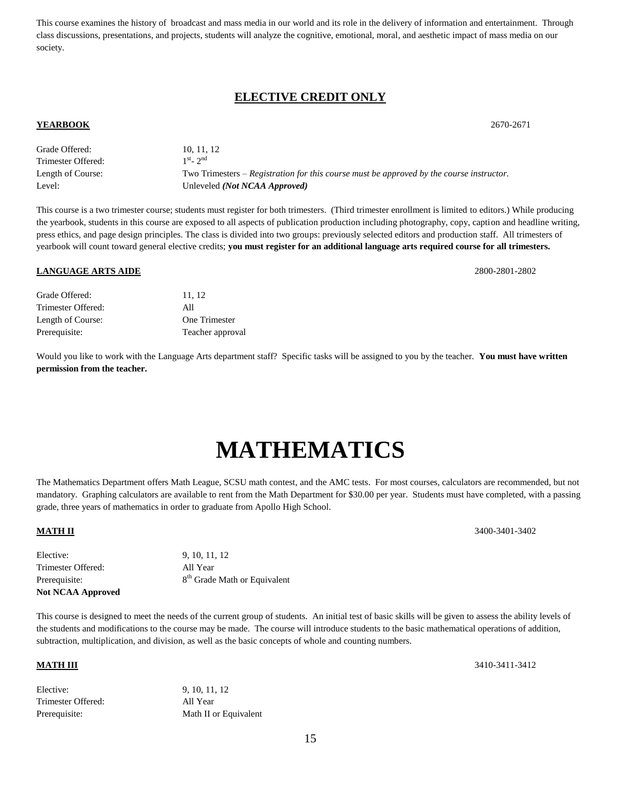This course examines the history of broadcast and mass media in our world and its role in the delivery of information and entertainment. Through class discussions, presentations, and projects, students will analyze the cognitive, emotional, moral, and aesthetic impact of mass media on our society.

### **ELECTIVE CREDIT ONLY**

#### **YEARBOOK** 2670-2671

| Grade Offered:     | 10, 11, 12                                                                               |
|--------------------|------------------------------------------------------------------------------------------|
| Trimester Offered: | $1st - 2nd$                                                                              |
| Length of Course:  | Two Trimesters – Registration for this course must be approved by the course instructor. |
| Level:             | Unleveled <i>(Not NCAA Approved)</i>                                                     |

This course is a two trimester course; students must register for both trimesters. (Third trimester enrollment is limited to editors.) While producing the yearbook, students in this course are exposed to all aspects of publication production including photography, copy, caption and headline writing, press ethics, and page design principles. The class is divided into two groups: previously selected editors and production staff. All trimesters of yearbook will count toward general elective credits; **you must register for an additional language arts required course for all trimesters.** 

#### **LANGUAGE ARTS AIDE** 2800-2801-2802

| Grade Offered:     | 11.12            |
|--------------------|------------------|
| Trimester Offered: | All              |
| Length of Course:  | One Trimester    |
| Prerequisite:      | Teacher approval |

Would you like to work with the Language Arts department staff? Specific tasks will be assigned to you by the teacher. **You must have written permission from the teacher.**

# **MATHEMATICS**

The Mathematics Department offers Math League, SCSU math contest, and the AMC tests. For most courses, calculators are recommended, but not mandatory. Graphing calculators are available to rent from the Math Department for \$30.00 per year. Students must have completed, with a passing grade, three years of mathematics in order to graduate from Apollo High School.

| <b>Not NCAA Approved</b> |                                          |
|--------------------------|------------------------------------------|
| Prerequisite:            | 8 <sup>th</sup> Grade Math or Equivalent |
| Trimester Offered:       | All Year                                 |
| Elective:                | 9, 10, 11, 12                            |

This course is designed to meet the needs of the current group of students. An initial test of basic skills will be given to assess the ability levels of the students and modifications to the course may be made. The course will introduce students to the basic mathematical operations of addition, subtraction, multiplication, and division, as well as the basic concepts of whole and counting numbers.

| Elective:          | 9, 10, 11, 12         |
|--------------------|-----------------------|
| Trimester Offered: | All Year              |
| Prerequisite:      | Math II or Equivalent |

**MATH III** 3410-3411-3412

15

**MATH II** 3400-3401-3402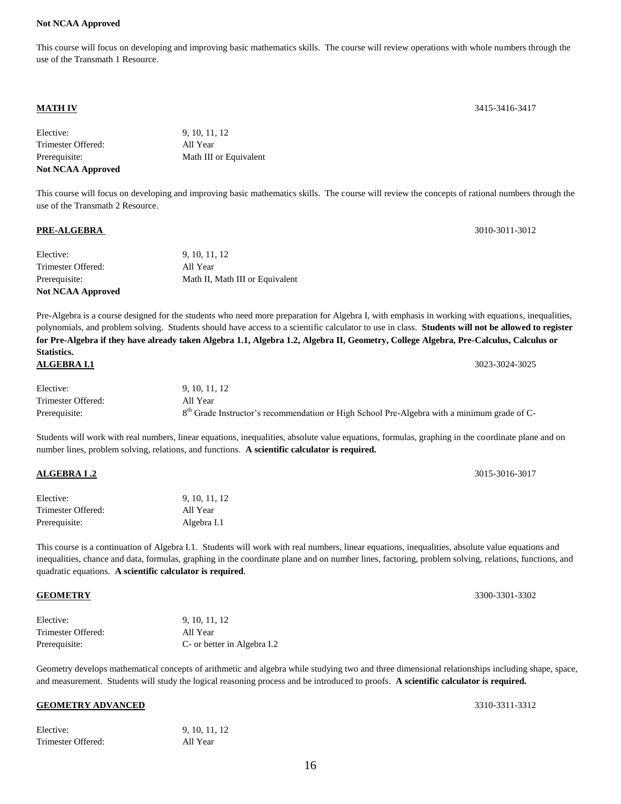#### **Not NCAA Approved**

This course will focus on developing and improving basic mathematics skills. The course will review operations with whole numbers through the use of the Transmath 1 Resource.

| Elective:                | 9, 10, 11, 12          |
|--------------------------|------------------------|
| Trimester Offered:       | All Year               |
| Prerequisite:            | Math III or Equivalent |
| <b>Not NCAA Approved</b> |                        |

This course will focus on developing and improving basic mathematics skills. The course will review the concepts of rational numbers through the use of the Transmath 2 Resource.

#### **PRE-ALGEBRA** 3010-3011-3012

| Math II, Math III or Equivalent |
|---------------------------------|
| All Year                        |
| 9, 10, 11, 12                   |
|                                 |

Pre-Algebra is a course designed for the students who need more preparation for Algebra I, with emphasis in working with equations, inequalities, polynomials, and problem solving. Students should have access to a scientific calculator to use in class. **Students will not be allowed to register for Pre-Algebra if they have already taken Algebra 1.1, Algebra 1.2, Algebra II, Geometry, College Algebra, Pre-Calculus, Calculus or Statistics. ALGEBRA I.1** 3023-3024-3025

| Elective:          | 9, 10, 11, 12                                                                                           |
|--------------------|---------------------------------------------------------------------------------------------------------|
| Trimester Offered: | All Year                                                                                                |
| Prerequisite:      | 8 <sup>th</sup> Grade Instructor's recommendation or High School Pre-Algebra with a minimum grade of C- |

Students will work with real numbers, linear equations, inequalities, absolute value equations, formulas, graphing in the coordinate plane and on number lines, problem solving, relations, and functions. **A scientific calculator is required.**

| Elective:          | 9, 10, 11, 12 |
|--------------------|---------------|
| Trimester Offered: | All Year      |

Prerequisite: Algebra I.1

This course is a continuation of Algebra I.1. Students will work with real numbers, linear equations, inequalities, absolute value equations and inequalities, chance and data, formulas, graphing in the coordinate plane and on number lines, factoring, problem solving, relations, functions, and quadratic equations. **A scientific calculator is required**.

| Elective:          | 9, 10, 11, 12               |
|--------------------|-----------------------------|
| Trimester Offered: | All Year                    |
| Prerequisite:      | C- or better in Algebra I.2 |

Geometry develops mathematical concepts of arithmetic and algebra while studying two and three dimensional relationships including shape, space, and measurement. Students will study the logical reasoning process and be introduced to proofs. **A scientific calculator is required.**

#### **GEOMETRY ADVANCED** 3310-3311-3312

| Elective:          | 9, 10, 11, 12 |
|--------------------|---------------|
| Trimester Offered: | All Year      |

16

**MATH IV** 3415-3416-3417

**ALGEBRA I .2** 3015-3016-3017

**GEOMETRY** 3300-3301-3302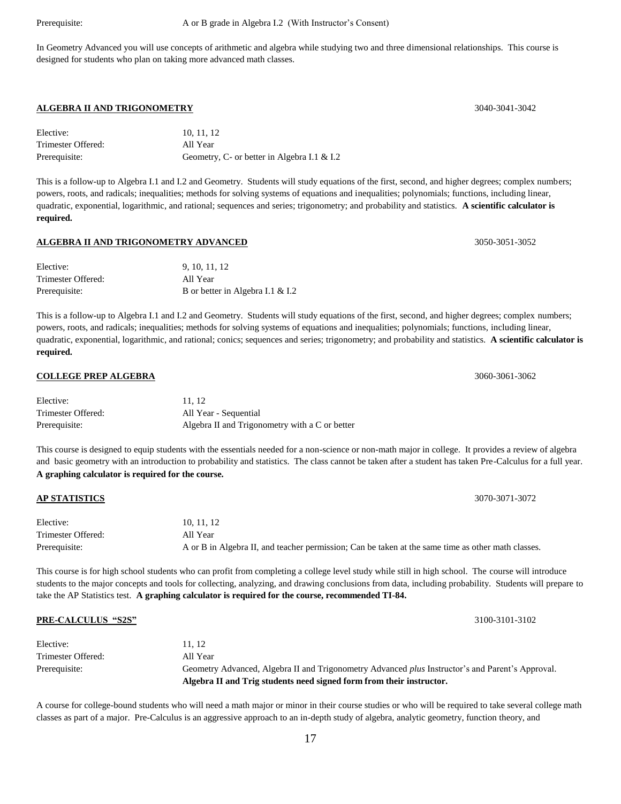In Geometry Advanced you will use concepts of arithmetic and algebra while studying two and three dimensional relationships. This course is designed for students who plan on taking more advanced math classes.

#### **ALGEBRA II AND TRIGONOMETRY** 3040-3041-3042

| Elective:          | 10.11.12                                    |
|--------------------|---------------------------------------------|
| Trimester Offered: | All Year                                    |
| Prerequisite:      | Geometry, C- or better in Algebra I.1 & I.2 |

This is a follow-up to Algebra I.1 and I.2 and Geometry. Students will study equations of the first, second, and higher degrees; complex numbers; powers, roots, and radicals; inequalities; methods for solving systems of equations and inequalities; polynomials; functions, including linear, quadratic, exponential, logarithmic, and rational; sequences and series; trigonometry; and probability and statistics. **A scientific calculator is required.**

#### **ALGEBRA II AND TRIGONOMETRY ADVANCED** 3050-3051-3052

| Elective:          | 9, 10, 11, 12                    |
|--------------------|----------------------------------|
| Trimester Offered: | All Year                         |
| Prerequisite:      | B or better in Algebra I.1 & I.2 |

This is a follow-up to Algebra I.1 and I.2 and Geometry. Students will study equations of the first, second, and higher degrees; complex numbers; powers, roots, and radicals; inequalities; methods for solving systems of equations and inequalities; polynomials; functions, including linear, quadratic, exponential, logarithmic, and rational; conics; sequences and series; trigonometry; and probability and statistics. **A scientific calculator is required.**

#### **COLLEGE PREP ALGEBRA** 3060-3061-3062

| Elective:          | 11.12                                          |
|--------------------|------------------------------------------------|
| Trimester Offered: | All Year - Sequential                          |
| Prerequisite:      | Algebra II and Trigonometry with a C or better |

This course is designed to equip students with the essentials needed for a non-science or non-math major in college. It provides a review of algebra and basic geometry with an introduction to probability and statistics. The class cannot be taken after a student has taken Pre-Calculus for a full year. **A graphing calculator is required for the course.**

| <b>AP STATISTICS</b> | 3070-3071-3072                                                                                     |
|----------------------|----------------------------------------------------------------------------------------------------|
| Elective:            | 10, 11, 12                                                                                         |
| Trimester Offered:   | All Year                                                                                           |
| Prerequisite:        | A or B in Algebra II, and teacher permission; Can be taken at the same time as other math classes. |

This course is for high school students who can profit from completing a college level study while still in high school. The course will introduce students to the major concepts and tools for collecting, analyzing, and drawing conclusions from data, including probability. Students will prepare to take the AP Statistics test. **A graphing calculator is required for the course, recommended TI-84.**

| <b>PRE-CALCULUS "S2S"</b> | 3100-3101-3102                                                                                          |
|---------------------------|---------------------------------------------------------------------------------------------------------|
| Elective:                 | 11.12                                                                                                   |
| Trimester Offered:        | All Year                                                                                                |
| Prerequisite:             | Geometry Advanced, Algebra II and Trigonometry Advanced <i>plus</i> Instructor's and Parent's Approval. |
|                           | Algebra II and Trig students need signed form from their instructor.                                    |

A course for college-bound students who will need a math major or minor in their course studies or who will be required to take several college math classes as part of a major. Pre-Calculus is an aggressive approach to an in-depth study of algebra, analytic geometry, function theory, and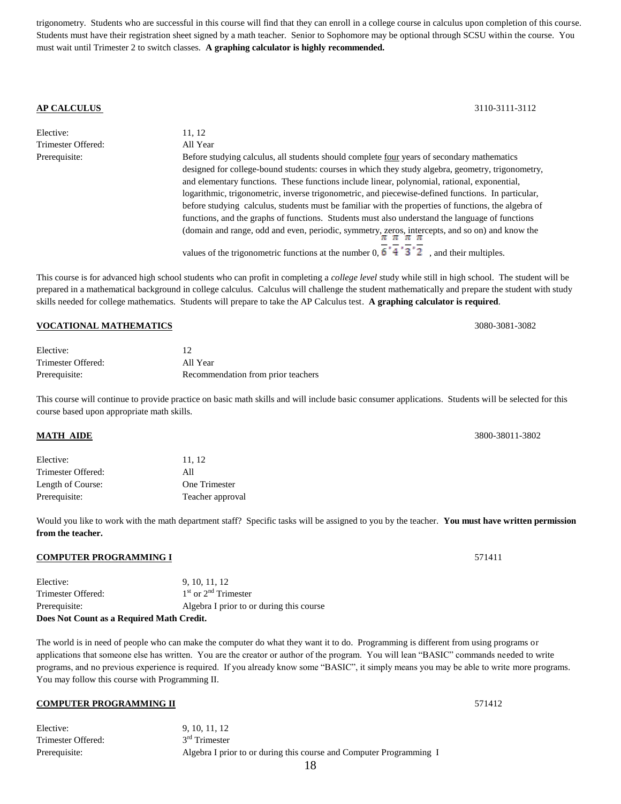trigonometry. Students who are successful in this course will find that they can enroll in a college course in calculus upon completion of this course. Students must have their registration sheet signed by a math teacher. Senior to Sophomore may be optional through SCSU within the course. You must wait until Trimester 2 to switch classes. **A graphing calculator is highly recommended.**

**AP CALCULUS** 3110-3111-3112

| Elective:          | 11.12                                                                                                                                                                                                                                                                                                                                                                                                                                                                                                                                                                                                                                                                                                                                                                                                          |
|--------------------|----------------------------------------------------------------------------------------------------------------------------------------------------------------------------------------------------------------------------------------------------------------------------------------------------------------------------------------------------------------------------------------------------------------------------------------------------------------------------------------------------------------------------------------------------------------------------------------------------------------------------------------------------------------------------------------------------------------------------------------------------------------------------------------------------------------|
| Trimester Offered: | All Year                                                                                                                                                                                                                                                                                                                                                                                                                                                                                                                                                                                                                                                                                                                                                                                                       |
| Prerequisite:      | Before studying calculus, all students should complete four years of secondary mathematics<br>designed for college-bound students: courses in which they study algebra, geometry, trigonometry,<br>and elementary functions. These functions include linear, polynomial, rational, exponential,<br>logarithmic, trigonometric, inverse trigonometric, and piecewise-defined functions. In particular,<br>before studying calculus, students must be familiar with the properties of functions, the algebra of<br>functions, and the graphs of functions. Students must also understand the language of functions<br>(domain and range, odd and even, periodic, symmetry, zeros, intercepts, and so on) and know the<br>values of the trigonometric functions at the number 0, $6'4'3'2$ , and their multiples. |

This course is for advanced high school students who can profit in completing a *college level* study while still in high school. The student will be prepared in a mathematical background in college calculus. Calculus will challenge the student mathematically and prepare the student with study skills needed for college mathematics. Students will prepare to take the AP Calculus test. **A graphing calculator is required**.

#### **VOCATIONAL MATHEMATICS** 3080-3081-3082

| Elective:          |                                    |
|--------------------|------------------------------------|
| Trimester Offered: | All Year                           |
| Prerequisite:      | Recommendation from prior teachers |

This course will continue to provide practice on basic math skills and will include basic consumer applications. Students will be selected for this course based upon appropriate math skills.

**MATH AIDE** 3800-38011-3802

| Elective:          | 11.12            |
|--------------------|------------------|
| Trimester Offered: | All              |
| Length of Course:  | One Trimester    |
| Prerequisite:      | Teacher approval |

Would you like to work with the math department staff? Specific tasks will be assigned to you by the teacher. **You must have written permission from the teacher.**

#### **COMPUTER PROGRAMMING I** 571411

| Does Not Count as a Required Math Credit. |                                          |  |
|-------------------------------------------|------------------------------------------|--|
| Prerequisite:                             | Algebra I prior to or during this course |  |
| Trimester Offered:                        | $1st$ or $2nd$ Trimester                 |  |
| Elective:                                 | 9, 10, 11, 12                            |  |

The world is in need of people who can make the computer do what they want it to do. Programming is different from using programs or applications that someone else has written. You are the creator or author of the program. You will lean "BASIC" commands needed to write programs, and no previous experience is required. If you already know some "BASIC", it simply means you may be able to write more programs. You may follow this course with Programming II.

### **COMPUTER PROGRAMMING II** 571412

| Elective:          | 9, 10, 11, 12                                                       |
|--------------------|---------------------------------------------------------------------|
| Trimester Offered: | $3rd$ Trimester                                                     |
| Prerequisite:      | Algebra I prior to or during this course and Computer Programming I |

18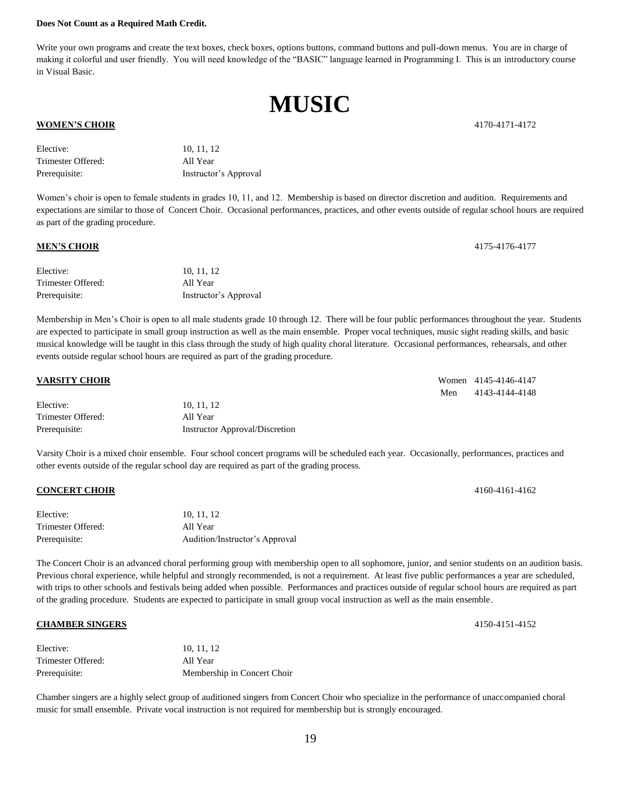#### **Does Not Count as a Required Math Credit.**

Write your own programs and create the text boxes, check boxes, options buttons, command buttons and pull-down menus. You are in charge of making it colorful and user friendly. You will need knowledge of the "BASIC" language learned in Programming I. This is an introductory course in Visual Basic.

**MUSIC**

#### **WOMEN'S CHOIR** 4170-4171-4172

| Elective:          | 10, 11, 12            |
|--------------------|-----------------------|
| Trimester Offered: | All Year              |
| Prerequisite:      | Instructor's Approval |

Women's choir is open to female students in grades 10, 11, and 12. Membership is based on director discretion and audition. Requirements and expectations are similar to those of Concert Choir. Occasional performances, practices, and other events outside of regular school hours are required as part of the grading procedure.

#### **MEN'S CHOIR** 4175-4176

| Elective:          | 10, 11, 12            |
|--------------------|-----------------------|
| Trimester Offered: | All Year              |
| Prerequisite:      | Instructor's Approval |

Membership in Men's Choir is open to all male students grade 10 through 12. There will be four public performances throughout the year. Students are expected to participate in small group instruction as well as the main ensemble. Proper vocal techniques, music sight reading skills, and basic musical knowledge will be taught in this class through the study of high quality choral literature. Occasional performances, rehearsals, and other events outside regular school hours are required as part of the grading procedure.

#### **VARSITY CHOIR** Women 4145-4146-4147 Men 4143-4144-4148 Elective: 10, 11, 12 Trimester Offered: All Year Prerequisite: Instructor Approval/Discretion

Varsity Choir is a mixed choir ensemble. Four school concert programs will be scheduled each year. Occasionally, performances, practices and other events outside of the regular school day are required as part of the grading process.

#### **CONCERT CHOIR** 4160-4161-4162

| Elective:          | 10.11.12                       |
|--------------------|--------------------------------|
| Trimester Offered: | All Year                       |
| Prerequisite:      | Audition/Instructor's Approval |

The Concert Choir is an advanced choral performing group with membership open to all sophomore, junior, and senior students on an audition basis. Previous choral experience, while helpful and strongly recommended, is not a requirement. At least five public performances a year are scheduled, with trips to other schools and festivals being added when possible. Performances and practices outside of regular school hours are required as part of the grading procedure. Students are expected to participate in small group vocal instruction as well as the main ensemble.

#### **CHAMBER SINGERS** 4150-4151-4152

| Elective:          | 10.11.12                    |
|--------------------|-----------------------------|
| Trimester Offered: | All Year                    |
| Prerequisite:      | Membership in Concert Choir |

Chamber singers are a highly select group of auditioned singers from Concert Choir who specialize in the performance of unaccompanied choral music for small ensemble. Private vocal instruction is not required for membership but is strongly encouraged.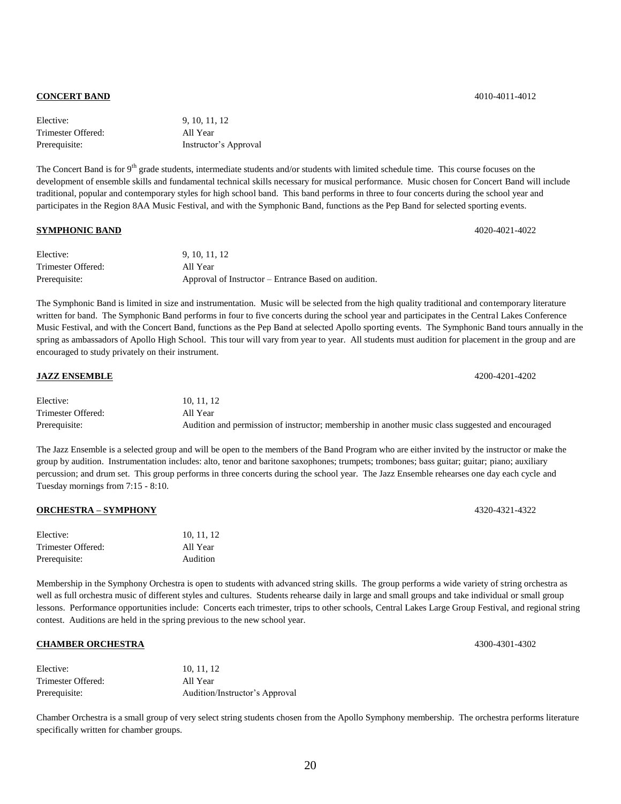#### **CONCERT BAND** 4010-4011-4012

| Elective:          | 9, 10, 11, 12         |
|--------------------|-----------------------|
| Trimester Offered: | All Year              |
| Prerequisite:      | Instructor's Approval |

The Concert Band is for 9<sup>th</sup> grade students, intermediate students and/or students with limited schedule time. This course focuses on the development of ensemble skills and fundamental technical skills necessary for musical performance. Music chosen for Concert Band will include traditional, popular and contemporary styles for high school band. This band performs in three to four concerts during the school year and participates in the Region 8AA Music Festival, and with the Symphonic Band, functions as the Pep Band for selected sporting events.

#### **SYMPHONIC BAND** 4020-4021-4022

| Elective:          | 9, 10, 11, 12                                        |
|--------------------|------------------------------------------------------|
| Trimester Offered: | All Year                                             |
| Prerequisite:      | Approval of Instructor – Entrance Based on audition. |

The Symphonic Band is limited in size and instrumentation. Music will be selected from the high quality traditional and contemporary literature written for band. The Symphonic Band performs in four to five concerts during the school year and participates in the Central Lakes Conference Music Festival, and with the Concert Band, functions as the Pep Band at selected Apollo sporting events. The Symphonic Band tours annually in the spring as ambassadors of Apollo High School. This tour will vary from year to year. All students must audition for placement in the group and are encouraged to study privately on their instrument.

| <b>JAZZ ENSEMBLE</b> | 4200-4201-4202                                                                                    |
|----------------------|---------------------------------------------------------------------------------------------------|
| Elective:            | 10.11.12                                                                                          |
| Trimester Offered:   | All Year                                                                                          |
| Prerequisite:        | Audition and permission of instructor; membership in another music class suggested and encouraged |

The Jazz Ensemble is a selected group and will be open to the members of the Band Program who are either invited by the instructor or make the group by audition. Instrumentation includes: alto, tenor and baritone saxophones; trumpets; trombones; bass guitar; guitar; piano; auxiliary percussion; and drum set. This group performs in three concerts during the school year. The Jazz Ensemble rehearses one day each cycle and Tuesday mornings from 7:15 - 8:10.

#### **ORCHESTRA – SYMPHONY** 4320-4321-4322

| Elective:          | 10, 11, 12 |
|--------------------|------------|
| Trimester Offered: | All Year   |
| Prerequisite:      | Audition   |

Membership in the Symphony Orchestra is open to students with advanced string skills. The group performs a wide variety of string orchestra as well as full orchestra music of different styles and cultures. Students rehearse daily in large and small groups and take individual or small group lessons. Performance opportunities include: Concerts each trimester, trips to other schools, Central Lakes Large Group Festival, and regional string contest. Auditions are held in the spring previous to the new school year.

#### **CHAMBER ORCHESTRA** 4300-4301 **4300**

| Elective:          | 10.11.12                       |
|--------------------|--------------------------------|
| Trimester Offered: | All Year                       |
| Prerequisite:      | Audition/Instructor's Approval |

Chamber Orchestra is a small group of very select string students chosen from the Apollo Symphony membership. The orchestra performs literature specifically written for chamber groups.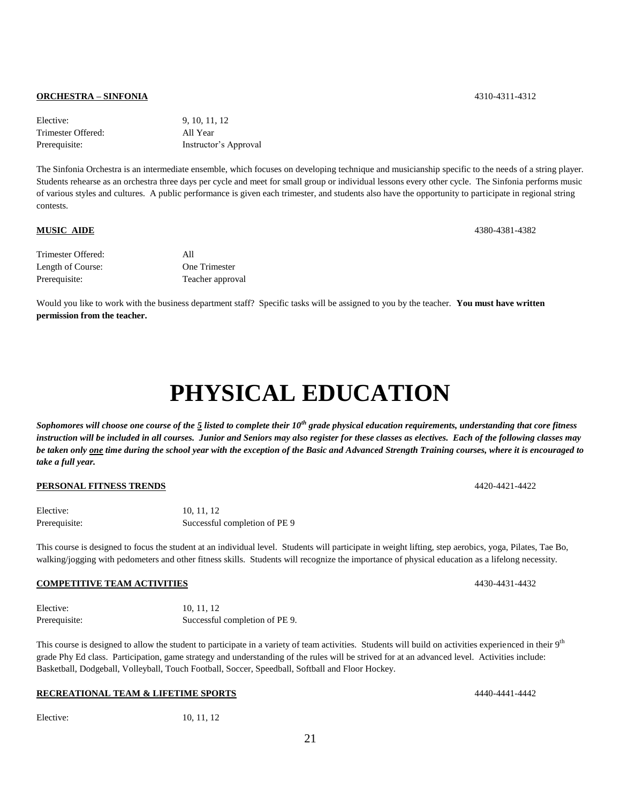#### **ORCHESTRA – SINFONIA** 4310-4311-4312

Elective: 9, 10, 11, 12 Trimester Offered: All Year Prerequisite: Instructor's Approval

The Sinfonia Orchestra is an intermediate ensemble, which focuses on developing technique and musicianship specific to the needs of a string player. Students rehearse as an orchestra three days per cycle and meet for small group or individual lessons every other cycle. The Sinfonia performs music of various styles and cultures. A public performance is given each trimester, and students also have the opportunity to participate in regional string contests.

#### **MUSIC AIDE** 4380-4381-4382

| Trimester Offered: | All              |
|--------------------|------------------|
| Length of Course:  | One Trimester    |
| Prerequisite:      | Teacher approval |

Would you like to work with the business department staff? Specific tasks will be assigned to you by the teacher. **You must have written permission from the teacher.**

# **PHYSICAL EDUCATION**

*Sophomores will choose one course of the 5 listed to complete their 10th grade physical education requirements, understanding that core fitness instruction will be included in all courses. Junior and Seniors may also register for these classes as electives. Each of the following classes may be taken only one time during the school year with the exception of the Basic and Advanced Strength Training courses, where it is encouraged to take a full year.*

#### **PERSONAL FITNESS TRENDS** 4420-4421-4422

| Elective:     | 10, 11, 12                    |
|---------------|-------------------------------|
| Prerequisite: | Successful completion of PE 9 |

This course is designed to focus the student at an individual level. Students will participate in weight lifting, step aerobics, yoga, Pilates, Tae Bo, walking/jogging with pedometers and other fitness skills. Students will recognize the importance of physical education as a lifelong necessity.

#### **COMPETITIVE TEAM ACTIVITIES** 4430-4431-4432

Elective: 10, 11, 12 Prerequisite: Successful completion of PE 9.

This course is designed to allow the student to participate in a variety of team activities. Students will build on activities experienced in their 9<sup>th</sup> grade Phy Ed class. Participation, game strategy and understanding of the rules will be strived for at an advanced level. Activities include: Basketball, Dodgeball, Volleyball, Touch Football, Soccer, Speedball, Softball and Floor Hockey.

#### **RECREATIONAL TEAM & LIFETIME SPORTS** 4440-4441-4442

Elective: 10, 11, 12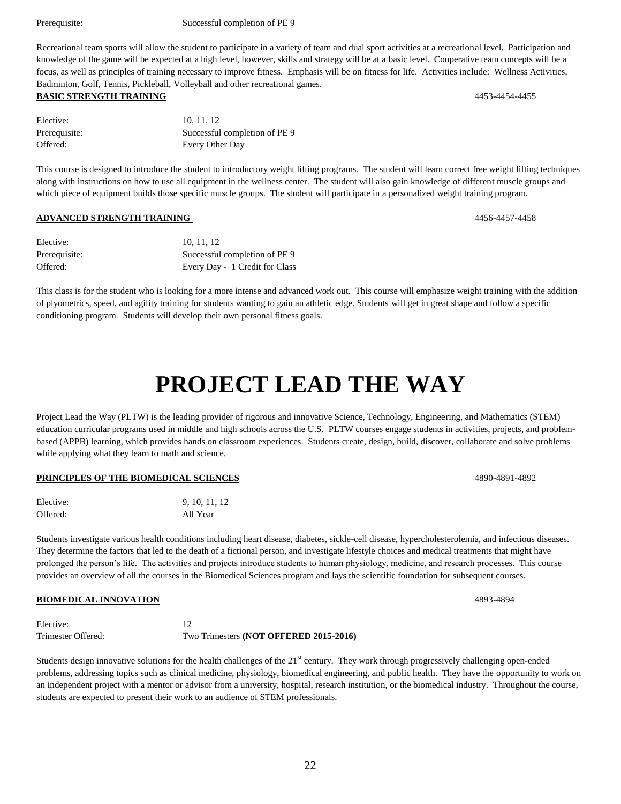Prerequisite: Successful completion of PE 9

Recreational team sports will allow the student to participate in a variety of team and dual sport activities at a recreational level. Participation and knowledge of the game will be expected at a high level, however, skills and strategy will be at a basic level. Cooperative team concepts will be a focus, as well as principles of training necessary to improve fitness. Emphasis will be on fitness for life. Activities include: Wellness Activities, Badminton, Golf, Tennis, Pickleball, Volleyball and other recreational games.

### **BASIC STRENGTH TRAINING** 4453-4454-4455

| Elective:     | 10.11.12                      |
|---------------|-------------------------------|
| Prerequisite: | Successful completion of PE 9 |
| Offered:      | Every Other Day               |

This course is designed to introduce the student to introductory weight lifting programs. The student will learn correct free weight lifting techniques along with instructions on how to use all equipment in the wellness center. The student will also gain knowledge of different muscle groups and which piece of equipment builds those specific muscle groups. The student will participate in a personalized weight training program.

#### **ADVANCED STRENGTH TRAINING** 4456-4457-4458

| Elective:     | 10.11.12                       |
|---------------|--------------------------------|
| Prerequisite: | Successful completion of PE 9  |
| Offered:      | Every Day - 1 Credit for Class |

This class is for the student who is looking for a more intense and advanced work out. This course will emphasize weight training with the addition of plyometrics, speed, and agility training for students wanting to gain an athletic edge. Students will get in great shape and follow a specific conditioning program. Students will develop their own personal fitness goals.

# **PROJECT LEAD THE WAY**

Project Lead the Way (PLTW) is the leading provider of rigorous and innovative Science, Technology, Engineering, and Mathematics (STEM) education curricular programs used in middle and high schools across the U.S. PLTW courses engage students in activities, projects, and problembased (APPB) learning, which provides hands on classroom experiences. Students create, design, build, discover, collaborate and solve problems while applying what they learn to math and science.

#### **PRINCIPLES OF THE BIOMEDICAL SCIENCES** 4890-4891-4892

| Elective: | 9, 10, 11, 12 |
|-----------|---------------|
| Offered:  | All Year      |

Students investigate various health conditions including heart disease, diabetes, sickle-cell disease, hypercholesterolemia, and infectious diseases. They determine the factors that led to the death of a fictional person, and investigate lifestyle choices and medical treatments that might have prolonged the person's life. The activities and projects introduce students to human physiology, medicine, and research processes. This course provides an overview of all the courses in the Biomedical Sciences program and lays the scientific foundation for subsequent courses.

#### **BIOMEDICAL INNOVATION** 4893-4894

Elective: 12 Trimester Offered: Two Trimesters **(NOT OFFERED 2015-2016)**

Students design innovative solutions for the health challenges of the  $21<sup>st</sup>$  century. They work through progressively challenging open-ended problems, addressing topics such as clinical medicine, physiology, biomedical engineering, and public health. They have the opportunity to work on an independent project with a mentor or advisor from a university, hospital, research institution, or the biomedical industry. Throughout the course, students are expected to present their work to an audience of STEM professionals.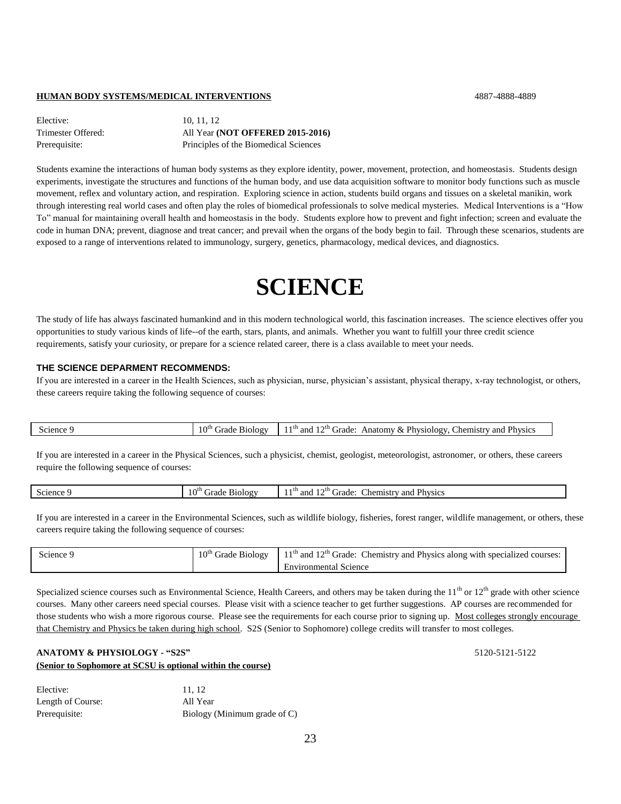#### **HUMAN BODY SYSTEMS/MEDICAL INTERVENTIONS** 4887-4888-4889

| Elective:          | 10.11.12                              |
|--------------------|---------------------------------------|
| Trimester Offered: | All Year (NOT OFFERED 2015-2016)      |
| Prerequisite:      | Principles of the Biomedical Sciences |

Students examine the interactions of human body systems as they explore identity, power, movement, protection, and homeostasis. Students design experiments, investigate the structures and functions of the human body, and use data acquisition software to monitor body functions such as muscle movement, reflex and voluntary action, and respiration. Exploring science in action, students build organs and tissues on a skeletal manikin, work through interesting real world cases and often play the roles of biomedical professionals to solve medical mysteries. Medical Interventions is a "How To" manual for maintaining overall health and homeostasis in the body. Students explore how to prevent and fight infection; screen and evaluate the code in human DNA; prevent, diagnose and treat cancer; and prevail when the organs of the body begin to fail. Through these scenarios, students are exposed to a range of interventions related to immunology, surgery, genetics, pharmacology, medical devices, and diagnostics.

## **SCIENCE**

The study of life has always fascinated humankind and in this modern technological world, this fascination increases. The science electives offer you opportunities to study various kinds of life--of the earth, stars, plants, and animals. Whether you want to fulfill your three credit science requirements, satisfy your curiosity, or prepare for a science related career, there is a class available to meet your needs.

#### **THE SCIENCE DEPARMENT RECOMMENDS:**

If you are interested in a career in the Health Sciences, such as physician, nurse, physician's assistant, physical therapy, x-ray technologist, or others, these careers require taking the following sequence of courses:

|  | $\beta$ cience | $10^v$<br>B1010gV<br>irade<br>. . | $^{-1}$ <sup>th</sup> and $\cdot$<br>Physics<br>≛∩u<br>Physiology.<br>:hemistry<br>Anatomv<br>and<br>cirade. |
|--|----------------|-----------------------------------|--------------------------------------------------------------------------------------------------------------|
|--|----------------|-----------------------------------|--------------------------------------------------------------------------------------------------------------|

If you are interested in a career in the Physical Sciences, such a physicist, chemist, geologist, meteorologist, astronomer, or others, these careers require the following sequence of courses:

|  | cience. | $10^{th}$<br>-<br>``<br>$\alpha$<br>. . | ⊸r th<br>Physics<br>≒anc<br>.hemistr<br>anc<br>$-$<br>пан |
|--|---------|-----------------------------------------|-----------------------------------------------------------|
|--|---------|-----------------------------------------|-----------------------------------------------------------|

If you are interested in a career in the Environmental Sciences, such as wildlife biology, fisheries, forest ranger, wildlife management, or others, these careers require taking the following sequence of courses:

| <b>Science</b> | 0 <sup>th</sup><br>Grade Biology | $11th$ and 12 <sup>th</sup> Grade: Chemistry and Physics along with specialized courses: |
|----------------|----------------------------------|------------------------------------------------------------------------------------------|
|                |                                  | Science<br>Environmental '                                                               |

Specialized science courses such as Environmental Science, Health Careers, and others may be taken during the  $11<sup>th</sup>$  or  $12<sup>th</sup>$  grade with other science courses. Many other careers need special courses. Please visit with a science teacher to get further suggestions. AP courses are recommended for those students who wish a more rigorous course. Please see the requirements for each course prior to signing up. Most colleges strongly encourage that Chemistry and Physics be taken during high school. S2S (Senior to Sophomore) college credits will transfer to most colleges.

### **ANATOMY & PHYSIOLOGY - "S2S"** 5120-5121-5122 **(Senior to Sophomore at SCSU is optional within the course)**

| Elective:         | 11.12                        |
|-------------------|------------------------------|
| Length of Course: | All Year                     |
| Prerequisite:     | Biology (Minimum grade of C) |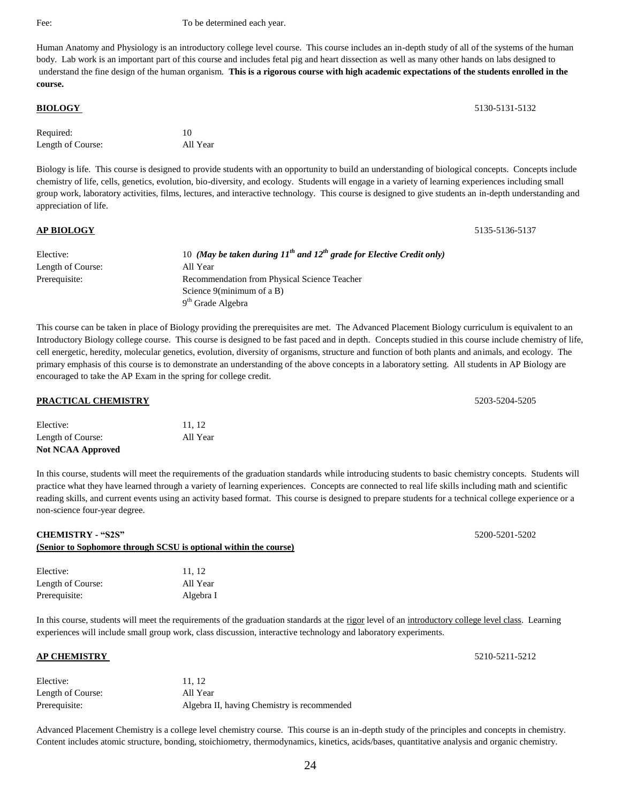#### Fee: To be determined each year.

Human Anatomy and Physiology is an introductory college level course. This course includes an in-depth study of all of the systems of the human body. Lab work is an important part of this course and includes fetal pig and heart dissection as well as many other hands on labs designed to understand the fine design of the human organism. **This is a rigorous course with high academic expectations of the students enrolled in the course.**

| <b>BIOLOGY</b>    |          | 5130-5131-5132 |
|-------------------|----------|----------------|
| Required:         | 10       |                |
| Length of Course: | All Year |                |
|                   |          |                |

Biology is life. This course is designed to provide students with an opportunity to build an understanding of biological concepts. Concepts include chemistry of life, cells, genetics, evolution, bio-diversity, and ecology. Students will engage in a variety of learning experiences including small group work, laboratory activities, films, lectures, and interactive technology. This course is designed to give students an in-depth understanding and appreciation of life.

| <b>AP BIOLOGY</b> |                                                                                 | 5135-5136-5137 |
|-------------------|---------------------------------------------------------------------------------|----------------|
| Elective:         | 10 (May be taken during $11^{th}$ and $12^{th}$ grade for Elective Credit only) |                |
| Length of Course: | All Year                                                                        |                |
| Prerequisite:     | Recommendation from Physical Science Teacher                                    |                |
|                   | Science $9$ (minimum of a B)                                                    |                |
|                   | $9th$ Grade Algebra                                                             |                |

This course can be taken in place of Biology providing the prerequisites are met. The Advanced Placement Biology curriculum is equivalent to an Introductory Biology college course. This course is designed to be fast paced and in depth. Concepts studied in this course include chemistry of life, cell energetic, heredity, molecular genetics, evolution, diversity of organisms, structure and function of both plants and animals, and ecology. The primary emphasis of this course is to demonstrate an understanding of the above concepts in a laboratory setting. All students in AP Biology are encouraged to take the AP Exam in the spring for college credit.

Elective: 11, 12 Length of Course: All Year **Not NCAA Approved**

In this course, students will meet the requirements of the graduation standards while introducing students to basic chemistry concepts. Students will practice what they have learned through a variety of learning experiences. Concepts are connected to real life skills including math and scientific reading skills, and current events using an activity based format. This course is designed to prepare students for a technical college experience or a non-science four-year degree.

#### **CHEMISTRY - "S2S"** 5200-5201-5202

#### **(Senior to Sophomore through SCSU is optional within the course)**

| Elective:         | 11.12     |
|-------------------|-----------|
| Length of Course: | All Year  |
| Prerequisite:     | Algebra I |

In this course, students will meet the requirements of the graduation standards at the rigor level of an introductory college level class. Learning experiences will include small group work, class discussion, interactive technology and laboratory experiments.

#### **AP CHEMISTRY** 5210-5211-5212

| Elective:         | 11.12                                       |
|-------------------|---------------------------------------------|
| Length of Course: | All Year                                    |
| Prerequisite:     | Algebra II, having Chemistry is recommended |

Advanced Placement Chemistry is a college level chemistry course. This course is an in-depth study of the principles and concepts in chemistry. Content includes atomic structure, bonding, stoichiometry, thermodynamics, kinetics, acids/bases, quantitative analysis and organic chemistry.

**PRACTICAL CHEMISTRY** 5203-5204-5205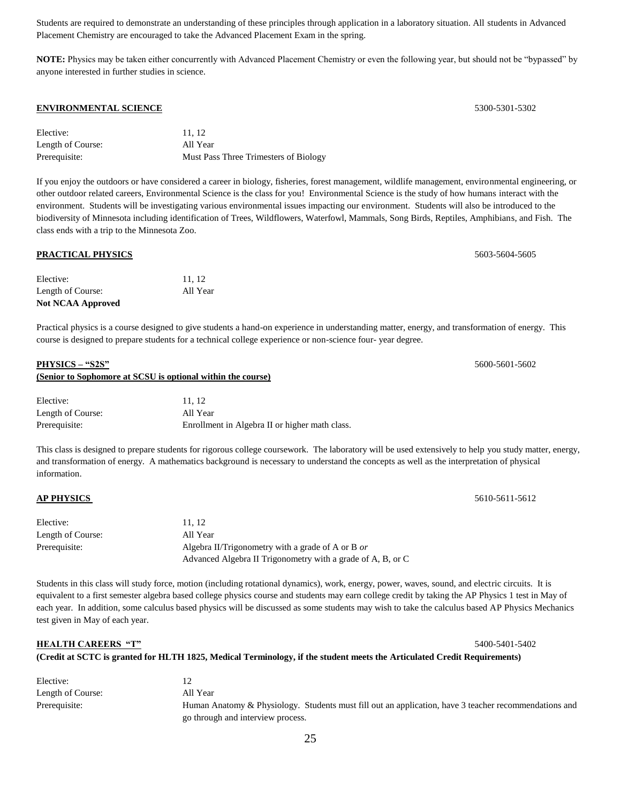Students are required to demonstrate an understanding of these principles through application in a laboratory situation. All students in Advanced Placement Chemistry are encouraged to take the Advanced Placement Exam in the spring.

**NOTE:** Physics may be taken either concurrently with Advanced Placement Chemistry or even the following year, but should not be "bypassed" by anyone interested in further studies in science.

#### **ENVIRONMENTAL SCIENCE** 5300-5301-5302

| Elective:         | 11.12                                 |
|-------------------|---------------------------------------|
| Length of Course: | All Year                              |
| Prerequisite:     | Must Pass Three Trimesters of Biology |

If you enjoy the outdoors or have considered a career in biology, fisheries, forest management, wildlife management, environmental engineering, or other outdoor related careers, Environmental Science is the class for you! Environmental Science is the study of how humans interact with the environment. Students will be investigating various environmental issues impacting our environment. Students will also be introduced to the biodiversity of Minnesota including identification of Trees, Wildflowers, Waterfowl, Mammals, Song Birds, Reptiles, Amphibians, and Fish. The class ends with a trip to the Minnesota Zoo.

| <b>PRACTICAL PHYSICS</b> |          | 5603-5604-5605 |
|--------------------------|----------|----------------|
| Elective:                | 11.12    |                |
| Length of Course:        | All Year |                |
| <b>Not NCAA Approved</b> |          |                |

Practical physics is a course designed to give students a hand-on experience in understanding matter, energy, and transformation of energy. This course is designed to prepare students for a technical college experience or non-science four- year degree.

| PHYSICS – "S2S"   |                                                             | 5600-5601-5602 |
|-------------------|-------------------------------------------------------------|----------------|
|                   | (Senior to Sophomore at SCSU is optional within the course) |                |
| Elective:         | 11.12                                                       |                |
| Length of Course: | All Year                                                    |                |

| This class is designed to prepare students for rigorous college coursework. The laboratory will be used extensively to help you study matter, energy, |
|-------------------------------------------------------------------------------------------------------------------------------------------------------|
| and transformation of energy. A mathematics background is necessary to understand the concepts as well as the interpretation of physical              |
| information.                                                                                                                                          |

#### **AP PHYSICS** 5610-5611-5612

| Elective:         | 11.12                                                       |
|-------------------|-------------------------------------------------------------|
| Length of Course: | All Year                                                    |
| Prerequisite:     | Algebra II/Trigonometry with a grade of A or B or           |
|                   | Advanced Algebra II Trigonometry with a grade of A, B, or C |

Prerequisite: Enrollment in Algebra II or higher math class.

Students in this class will study force, motion (including rotational dynamics), work, energy, power, waves, sound, and electric circuits. It is equivalent to a first semester algebra based college physics course and students may earn college credit by taking the AP Physics 1 test in May of each year. In addition, some calculus based physics will be discussed as some students may wish to take the calculus based AP Physics Mechanics test given in May of each year.

**(Credit at SCTC is granted for HLTH 1825, Medical Terminology, if the student meets the Articulated Credit Requirements)**

| Elective:         |                                                                                                       |
|-------------------|-------------------------------------------------------------------------------------------------------|
| Length of Course: | All Year                                                                                              |
| Prerequisite:     | Human Anatomy & Physiology. Students must fill out an application, have 3 teacher recommendations and |
|                   | go through and interview process.                                                                     |

**HEALTH CAREERS "T"** 5400-5401-5402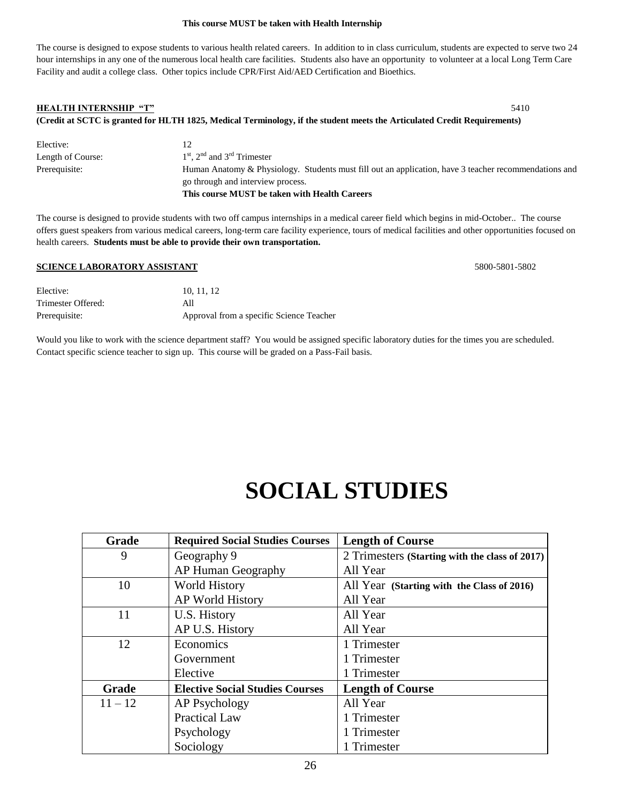#### **This course MUST be taken with Health Internship**

The course is designed to expose students to various health related careers. In addition to in class curriculum, students are expected to serve two 24 hour internships in any one of the numerous local health care facilities. Students also have an opportunity to volunteer at a local Long Term Care Facility and audit a college class. Other topics include CPR/First Aid/AED Certification and Bioethics.

## **HEALTH INTERNSHIP "T"** 5410 **(Credit at SCTC is granted for HLTH 1825, Medical Terminology, if the student meets the Articulated Credit Requirements)**

| Elective:         |                                                                                                       |
|-------------------|-------------------------------------------------------------------------------------------------------|
| Length of Course: | $1st$ , $2nd$ and $3rd$ Trimester                                                                     |
| Prerequisite:     | Human Anatomy & Physiology. Students must fill out an application, have 3 teacher recommendations and |
|                   | go through and interview process.                                                                     |
|                   | This course MUST be taken with Health Careers                                                         |

The course is designed to provide students with two off campus internships in a medical career field which begins in mid-October.. The course offers guest speakers from various medical careers, long-term care facility experience, tours of medical facilities and other opportunities focused on health careers. **Students must be able to provide their own transportation.**

#### **SCIENCE LABORATORY ASSISTANT** 5800-5801-5802

| Elective:          | 10.11.12                                 |
|--------------------|------------------------------------------|
| Trimester Offered: | All                                      |
| Prerequisite:      | Approval from a specific Science Teacher |

Would you like to work with the science department staff? You would be assigned specific laboratory duties for the times you are scheduled. Contact specific science teacher to sign up. This course will be graded on a Pass-Fail basis.

# **SOCIAL STUDIES**

| <b>Grade</b> | <b>Required Social Studies Courses</b> | <b>Length of Course</b>                        |
|--------------|----------------------------------------|------------------------------------------------|
| 9            | Geography 9                            | 2 Trimesters (Starting with the class of 2017) |
|              | <b>AP Human Geography</b>              | All Year                                       |
| 10           | <b>World History</b>                   | All Year (Starting with the Class of 2016)     |
|              | AP World History                       | All Year                                       |
| 11           | U.S. History                           | All Year                                       |
|              | AP U.S. History                        | All Year                                       |
| 12           | Economics                              | 1 Trimester                                    |
|              | Government                             | 1 Trimester                                    |
|              | Elective                               | 1 Trimester                                    |
| <b>Grade</b> | <b>Elective Social Studies Courses</b> | <b>Length of Course</b>                        |
| $11 - 12$    | AP Psychology                          | All Year                                       |
|              | <b>Practical Law</b>                   | 1 Trimester                                    |
|              | Psychology                             | 1 Trimester                                    |
|              | Sociology                              | 1 Trimester                                    |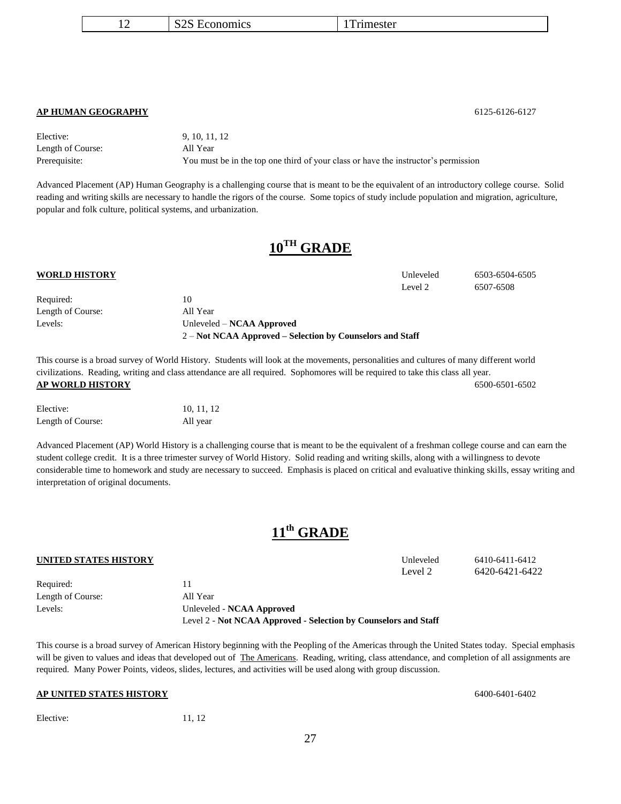|  | S <sub>2</sub> S Economics | l'Immester |
|--|----------------------------|------------|
|--|----------------------------|------------|

#### **AP HUMAN GEOGRAPHY** 6125-6126-6127

Elective: 9, 10, 11, 12 Length of Course: All Year Prerequisite: You must be in the top one third of your class or have the instructor's permission

Advanced Placement (AP) Human Geography is a challenging course that is meant to be the equivalent of an introductory college course. Solid reading and writing skills are necessary to handle the rigors of the course. Some topics of study include population and migration, agriculture, popular and folk culture, political systems, and urbanization.

## **10TH GRADE**

#### **WORLD HISTORY** Unleveled 6503-6504-6505

| Required:         | 10                                                          |
|-------------------|-------------------------------------------------------------|
| Length of Course: | All Year                                                    |
| Levels:           | Unleveled – NCAA Approved                                   |
|                   | $2 - Not NCAA$ Approved – Selection by Counselors and Staff |

This course is a broad survey of World History. Students will look at the movements, personalities and cultures of many different world civilizations. Reading, writing and class attendance are all required. Sophomores will be required to take this class all year. **AP WORLD HISTORY** 6500-6501-6502

| Elective:         | 10, 11, 12 |
|-------------------|------------|
| Length of Course: | All year   |

Advanced Placement (AP) World History is a challenging course that is meant to be the equivalent of a freshman college course and can earn the student college credit. It is a three trimester survey of World History. Solid reading and writing skills, along with a willingness to devote considerable time to homework and study are necessary to succeed. Emphasis is placed on critical and evaluative thinking skills, essay writing and interpretation of original documents.

## **11th GRADE**

This course is a broad survey of American History beginning with the Peopling of the Americas through the United States today. Special emphasis will be given to values and ideas that developed out of The Americans. Reading, writing, class attendance, and completion of all assignments are required. Many Power Points, videos, slides, lectures, and activities will be used along with group discussion.

Level 2 - **Not NCAA Approved - Selection by Counselors and Staff**

#### **AP UNITED STATES HISTORY** 6400-6401-6402

Required: 11 Length of Course: All Year

Levels: Unleveled - **NCAA Approved**

#### Elective: 11, 12

27

**UNITED STATES HISTORY** Unleveled 6410-6411-6412 Level 2 6420-6421-6422

Level 2 6507-6508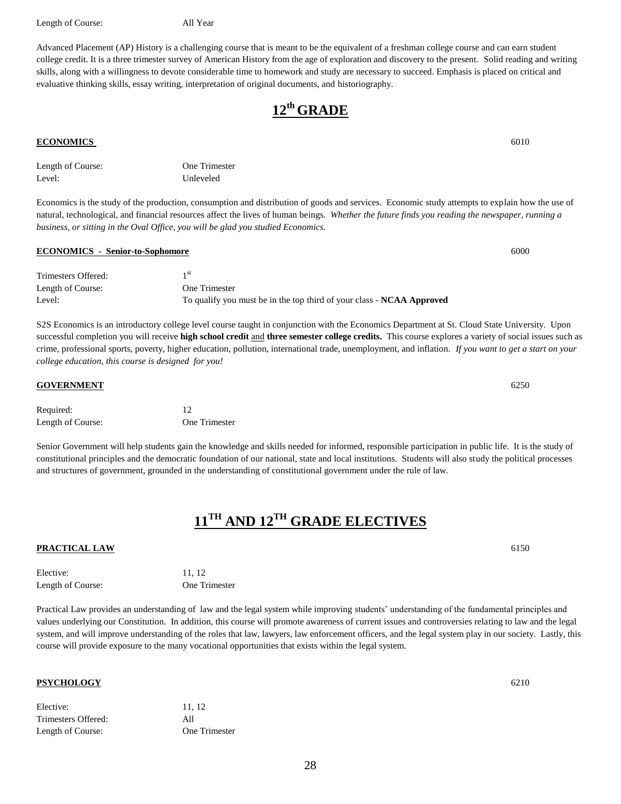Length of Course: All Year

Advanced Placement (AP) History is a challenging course that is meant to be the equivalent of a freshman college course and can earn student college credit. It is a three trimester survey of American History from the age of exploration and discovery to the present. Solid reading and writing skills, along with a willingness to devote considerable time to homework and study are necessary to succeed. Emphasis is placed on critical and evaluative thinking skills, essay writing, interpretation of original documents, and historiography.

**12th GRADE**

#### **ECONOMICS** 6010

| Length of Course: | One Trimester |
|-------------------|---------------|
| Level:            | Unleveled     |
|                   |               |

Economics is the study of the production, consumption and distribution of goods and services. Economic study attempts to explain how the use of natural, technological, and financial resources affect the lives of human beings. *Whether the future finds you reading the newspaper, running a business, or sitting in the Oval Office, you will be glad you studied Economics.*

#### Trimesters Offered: 1 1<sup>st</sup> Length of Course: One Trimester Level: To qualify you must be in the top third of your class - **NCAA Approved**

S2S Economics is an introductory college level course taught in conjunction with the Economics Department at St. Cloud State University. Upon successful completion you will receive **high school credit** and **three semester college credits.** This course explores a variety of social issues such as crime, professional sports, poverty, higher education, pollution, international trade, unemployment, and inflation. *If you want to get a start on your college education, this course is designed for you!*

Required: 12 Length of Course: One Trimester

Senior Government will help students gain the knowledge and skills needed for informed, responsible participation in public life. It is the study of constitutional principles and the democratic foundation of our national, state and local institutions. Students will also study the political processes and structures of government, grounded in the understanding of constitutional government under the rule of law.

## **11TH AND 12TH GRADE ELECTIVES**

#### **PRACTICAL LAW** 6150

| Elective:         | 11.12         |
|-------------------|---------------|
| Length of Course: | One Trimester |
|                   |               |

Practical Law provides an understanding of law and the legal system while improving students' understanding of the fundamental principles and values underlying our Constitution. In addition, this course will promote awareness of current issues and controversies relating to law and the legal system, and will improve understanding of the roles that law, lawyers, law enforcement officers, and the legal system play in our society. Lastly, this course will provide exposure to the many vocational opportunities that exists within the legal system.

#### **PSYCHOLOGY** 6210

| Elective:           | 11.12         |
|---------------------|---------------|
| Trimesters Offered: | All           |
| Length of Course:   | One Trimester |

**GOVERNMENT** 6250

**ECONOMICS - Senior-to-Sophomore** 6000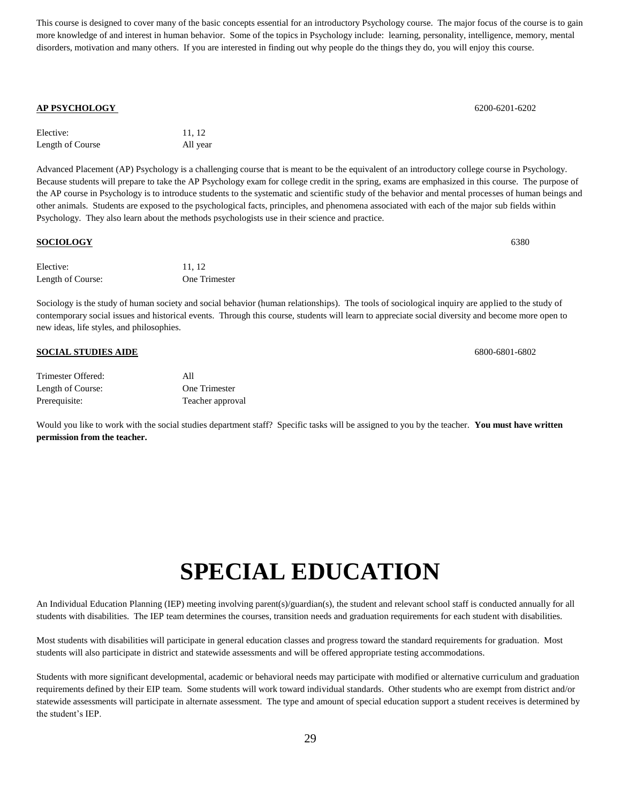This course is designed to cover many of the basic concepts essential for an introductory Psychology course. The major focus of the course is to gain more knowledge of and interest in human behavior. Some of the topics in Psychology include: learning, personality, intelligence, memory, mental disorders, motivation and many others. If you are interested in finding out why people do the things they do, you will enjoy this course.

#### **AP PSYCHOLOGY** 6200-6201-6202

| Elective:        | 11.12    |
|------------------|----------|
| Length of Course | All year |

Advanced Placement (AP) Psychology is a challenging course that is meant to be the equivalent of an introductory college course in Psychology. Because students will prepare to take the AP Psychology exam for college credit in the spring, exams are emphasized in this course. The purpose of the AP course in Psychology is to introduce students to the systematic and scientific study of the behavior and mental processes of human beings and other animals. Students are exposed to the psychological facts, principles, and phenomena associated with each of the major sub fields within Psychology. They also learn about the methods psychologists use in their science and practice.

| <b>SOCIOLOGY</b>  |               | 6380 |
|-------------------|---------------|------|
| Elective:         | 11, 12        |      |
| Length of Course: | One Trimester |      |

Sociology is the study of human society and social behavior (human relationships). The tools of sociological inquiry are applied to the study of contemporary social issues and historical events. Through this course, students will learn to appreciate social diversity and become more open to new ideas, life styles, and philosophies.

#### **SOCIAL STUDIES AIDE** 6800-6801-6802

| Trimester Offered: | All              |
|--------------------|------------------|
| Length of Course:  | One Trimester    |
| Prerequisite:      | Teacher approval |

Would you like to work with the social studies department staff? Specific tasks will be assigned to you by the teacher. **You must have written permission from the teacher.**

# **SPECIAL EDUCATION**

An Individual Education Planning (IEP) meeting involving parent(s)/guardian(s), the student and relevant school staff is conducted annually for all students with disabilities. The IEP team determines the courses, transition needs and graduation requirements for each student with disabilities.

Most students with disabilities will participate in general education classes and progress toward the standard requirements for graduation. Most students will also participate in district and statewide assessments and will be offered appropriate testing accommodations.

Students with more significant developmental, academic or behavioral needs may participate with modified or alternative curriculum and graduation requirements defined by their EIP team. Some students will work toward individual standards. Other students who are exempt from district and/or statewide assessments will participate in alternate assessment. The type and amount of special education support a student receives is determined by the student's IEP.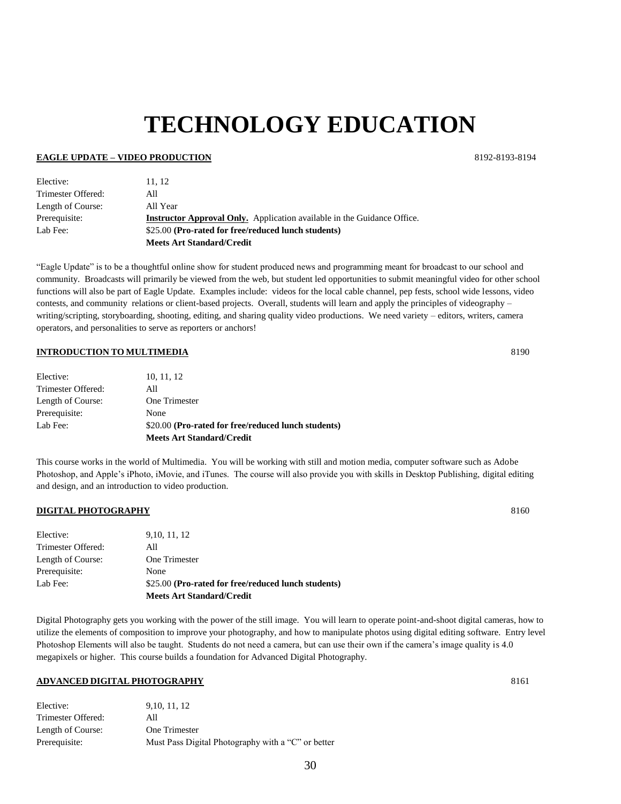# **TECHNOLOGY EDUCATION**

#### **EAGLE UPDATE – VIDEO PRODUCTION** 8192-8193-8194

| Elective:          | 11.12                                                                          |
|--------------------|--------------------------------------------------------------------------------|
| Trimester Offered: | All                                                                            |
| Length of Course:  | All Year                                                                       |
| Prerequisite:      | <b>Instructor Approval Only.</b> Application available in the Guidance Office. |
| Lab Fee:           | \$25.00 (Pro-rated for free/reduced lunch students)                            |
|                    | <b>Meets Art Standard/Credit</b>                                               |

"Eagle Update" is to be a thoughtful online show for student produced news and programming meant for broadcast to our school and community. Broadcasts will primarily be viewed from the web, but student led opportunities to submit meaningful video for other school functions will also be part of Eagle Update. Examples include: videos for the local cable channel, pep fests, school wide lessons, video contests, and community relations or client-based projects. Overall, students will learn and apply the principles of videography – writing/scripting, storyboarding, shooting, editing, and sharing quality video productions. We need variety – editors, writers, camera operators, and personalities to serve as reporters or anchors!

#### **INTRODUCTION TO MULTIMEDIA** 8190

|                    | <b>Meets Art Standard/Credit</b>                    |
|--------------------|-----------------------------------------------------|
| Lab Fee:           | \$20.00 (Pro-rated for free/reduced lunch students) |
| Prerequisite:      | None                                                |
| Length of Course:  | One Trimester                                       |
| Trimester Offered: | All                                                 |
| Elective:          | 10, 11, 12                                          |
|                    |                                                     |

This course works in the world of Multimedia. You will be working with still and motion media, computer software such as Adobe Photoshop, and Apple's iPhoto, iMovie, and iTunes. The course will also provide you with skills in Desktop Publishing, digital editing and design, and an introduction to video production.

#### **DIGITAL PHOTOGRAPHY** 8160

|                    | <b>Meets Art Standard/Credit</b>                    |
|--------------------|-----------------------------------------------------|
| Lab Fee:           | \$25.00 (Pro-rated for free/reduced lunch students) |
| Prerequisite:      | None                                                |
| Length of Course:  | One Trimester                                       |
| Trimester Offered: | All                                                 |
| Elective:          | 9, 10, 11, 12                                       |

Digital Photography gets you working with the power of the still image. You will learn to operate point-and-shoot digital cameras, how to utilize the elements of composition to improve your photography, and how to manipulate photos using digital editing software. Entry level Photoshop Elements will also be taught. Students do not need a camera, but can use their own if the camera's image quality is 4.0 megapixels or higher. This course builds a foundation for Advanced Digital Photography.

### **ADVANCED DIGITAL PHOTOGRAPHY** 8161

| Elective:          | 9, 10, 11, 12                                      |
|--------------------|----------------------------------------------------|
| Trimester Offered: | All                                                |
| Length of Course:  | One Trimester                                      |
| Prerequisite:      | Must Pass Digital Photography with a "C" or better |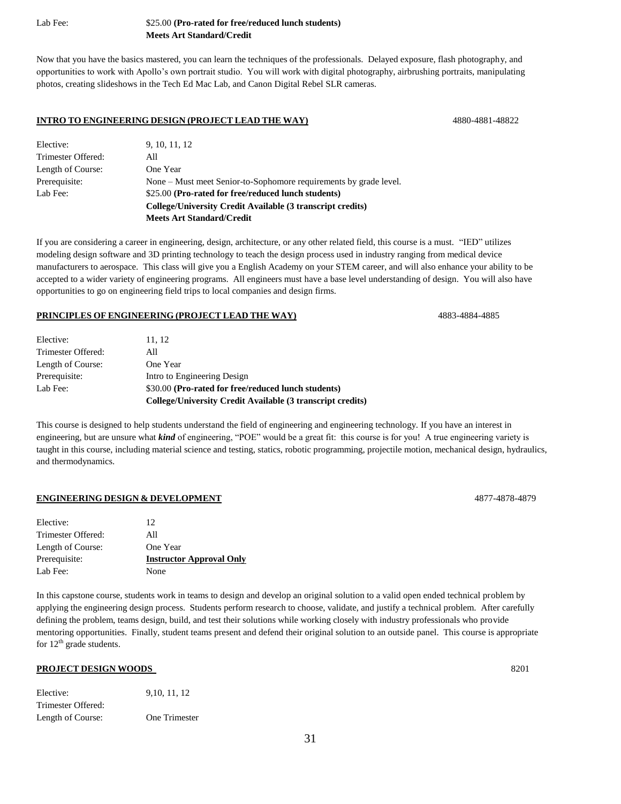#### Lab Fee: \$25.00 **(Pro-rated for free/reduced lunch students) Meets Art Standard/Credit**

Now that you have the basics mastered, you can learn the techniques of the professionals. Delayed exposure, flash photography, and opportunities to work with Apollo's own portrait studio. You will work with digital photography, airbrushing portraits, manipulating photos, creating slideshows in the Tech Ed Mac Lab, and Canon Digital Rebel SLR cameras.

#### **INTRO TO ENGINEERING DESIGN (PROJECT LEAD THE WAY)** 4880-4881-48822

| Elective:          | 9, 10, 11, 12                                                     |
|--------------------|-------------------------------------------------------------------|
| Trimester Offered: | All                                                               |
| Length of Course:  | One Year                                                          |
| Prerequisite:      | None – Must meet Senior-to-Sophomore requirements by grade level. |
| Lab Fee:           | \$25.00 (Pro-rated for free/reduced lunch students)               |
|                    | College/University Credit Available (3 transcript credits)        |
|                    | <b>Meets Art Standard/Credit</b>                                  |
|                    |                                                                   |

If you are considering a career in engineering, design, architecture, or any other related field, this course is a must. "IED" utilizes modeling design software and 3D printing technology to teach the design process used in industry ranging from medical device manufacturers to aerospace. This class will give you a English Academy on your STEM career, and will also enhance your ability to be accepted to a wider variety of engineering programs. All engineers must have a base level understanding of design. You will also have opportunities to go on engineering field trips to local companies and design firms.

#### **PRINCIPLES OF ENGINEERING (PROJECT LEAD THE WAY)** 4883-4884-4885

| Elective:          | 11, 12                                                     |
|--------------------|------------------------------------------------------------|
| Trimester Offered: | All                                                        |
| Length of Course:  | One Year                                                   |
| Prerequisite:      | Intro to Engineering Design                                |
| Lab Fee:           | \$30.00 (Pro-rated for free/reduced lunch students)        |
|                    | College/University Credit Available (3 transcript credits) |

This course is designed to help students understand the field of engineering and engineering technology. If you have an interest in engineering, but are unsure what *kind* of engineering, "POE" would be a great fit: this course is for you! A true engineering variety is taught in this course, including material science and testing, statics, robotic programming, projectile motion, mechanical design, hydraulics, and thermodynamics.

#### **ENGINEERING DESIGN & DEVELOPMENT** 4877-4878-4879

| Elective:          | 12                              |
|--------------------|---------------------------------|
| Trimester Offered: | All                             |
| Length of Course:  | One Year                        |
| Prerequisite:      | <b>Instructor Approval Only</b> |
| Lab Fee:           | None                            |

In this capstone course, students work in teams to design and develop an original solution to a valid open ended technical problem by applying the engineering design process. Students perform research to choose, validate, and justify a technical problem. After carefully defining the problem, teams design, build, and test their solutions while working closely with industry professionals who provide mentoring opportunities. Finally, student teams present and defend their original solution to an outside panel. This course is appropriate for  $12<sup>th</sup>$  grade students.

#### **PROJECT DESIGN WOODS** 8201

| Elective:          | 9, 10, 11, 12 |
|--------------------|---------------|
| Trimester Offered: |               |
| Length of Course:  | One Trimester |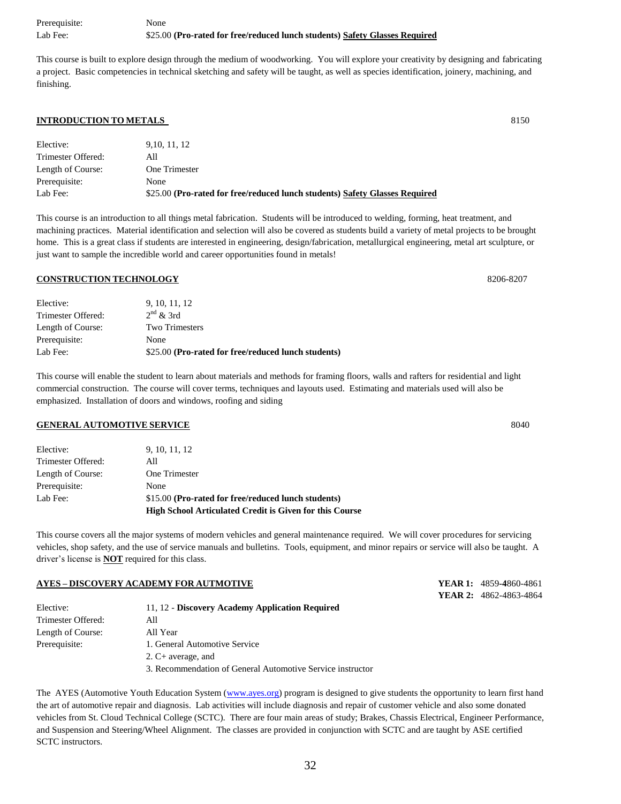Prerequisite: None Lab Fee: \$25.00 **(Pro-rated for free/reduced lunch students) Safety Glasses Required**

This course is built to explore design through the medium of woodworking. You will explore your creativity by designing and fabricating a project. Basic competencies in technical sketching and safety will be taught, as well as species identification, joinery, machining, and finishing.

#### **INTRODUCTION TO METALS** 8150

| Elective:          | 9.10.11.12                                                                  |
|--------------------|-----------------------------------------------------------------------------|
| Trimester Offered: | All                                                                         |
| Length of Course:  | One Trimester                                                               |
| Prerequisite:      | None                                                                        |
| Lab Fee:           | \$25.00 (Pro-rated for free/reduced lunch students) Safety Glasses Required |

This course is an introduction to all things metal fabrication. Students will be introduced to welding, forming, heat treatment, and machining practices. Material identification and selection will also be covered as students build a variety of metal projects to be brought home. This is a great class if students are interested in engineering, design/fabrication, metallurgical engineering, metal art sculpture, or just want to sample the incredible world and career opportunities found in metals!

#### **CONSTRUCTION TECHNOLOGY** 8206-8207

| Elective:          | 9, 10, 11, 12                                       |
|--------------------|-----------------------------------------------------|
| Trimester Offered: | $2nd$ & 3rd                                         |
| Length of Course:  | <b>Two Trimesters</b>                               |
| Prerequisite:      | None                                                |
| Lab Fee:           | \$25.00 (Pro-rated for free/reduced lunch students) |

This course will enable the student to learn about materials and methods for framing floors, walls and rafters for residential and light commercial construction. The course will cover terms, techniques and layouts used. Estimating and materials used will also be emphasized. Installation of doors and windows, roofing and siding

#### **GENERAL AUTOMOTIVE SERVICE** 8040

|                    | <b>High School Articulated Credit is Given for this Course</b> |
|--------------------|----------------------------------------------------------------|
| Lab Fee:           | \$15.00 (Pro-rated for free/reduced lunch students)            |
| Prerequisite:      | None                                                           |
| Length of Course:  | One Trimester                                                  |
| Trimester Offered: | All                                                            |
| Elective:          | 9, 10, 11, 12                                                  |

This course covers all the major systems of modern vehicles and general maintenance required. We will cover procedures for servicing vehicles, shop safety, and the use of service manuals and bulletins. Tools, equipment, and minor repairs or service will also be taught. A driver's license is **NOT** required for this class.

**AYES – DISCOVERY ACADEMY FOR AUTMOTIVE YEAR 1:** 4859**-4**860-4861

|                    | YEAR 2: 4862-4863-4864                                                                                                                   |
|--------------------|------------------------------------------------------------------------------------------------------------------------------------------|
| Elective:          | 11, 12 - Discovery Academy Application Required                                                                                          |
| Trimester Offered: | All                                                                                                                                      |
| Length of Course:  | All Year                                                                                                                                 |
| Prerequisite:      | 1. General Automotive Service                                                                                                            |
|                    | 2. $C+$ average, and                                                                                                                     |
|                    | 3. Recommendation of General Automotive Service instructor                                                                               |
|                    |                                                                                                                                          |
|                    | The AYES (Automotive Youth Education System (www.ayes.org) program is designed to give students the opportunity to learn first hand      |
|                    | the ext of euternative repair and diagnosis. Leb estivities will include diagnosis and repair of eusternor vehicle and also some depeted |

the art of automotive repair and diagnosis. Lab activities will include diagnosis and repair of customer vehicle and also some donated vehicles from St. Cloud Technical College (SCTC). There are four main areas of study; Brakes, Chassis Electrical, Engineer Performance, and Suspension and Steering/Wheel Alignment. The classes are provided in conjunction with SCTC and are taught by ASE certified SCTC instructors.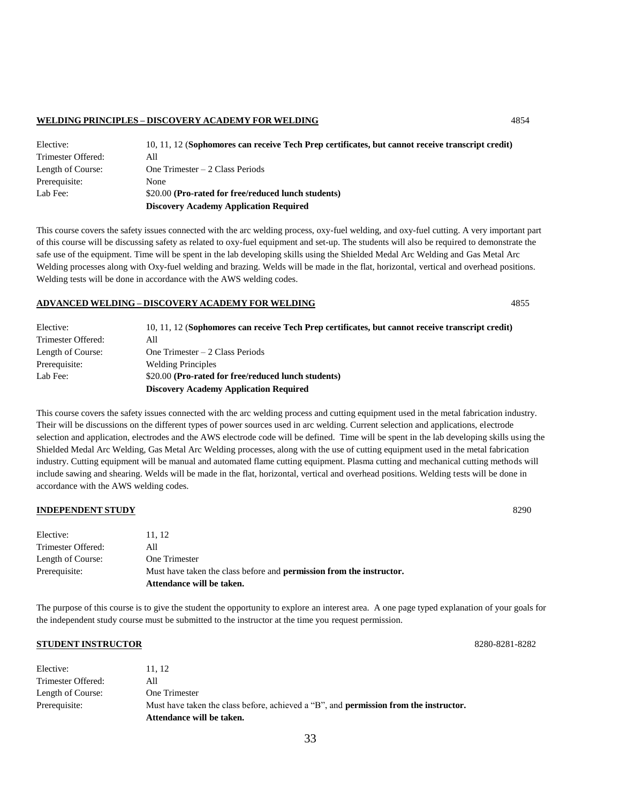#### **WELDING PRINCIPLES – DISCOVERY ACADEMY FOR WELDING** 4854

| Elective:                                                       | 10, 11, 12 (Sophomores can receive Tech Prep certificates, but cannot receive transcript credit) |
|-----------------------------------------------------------------|--------------------------------------------------------------------------------------------------|
| Trimester Offered:                                              | All                                                                                              |
| Length of Course:                                               | One Trimester $-2$ Class Periods                                                                 |
| Prerequisite:                                                   | None                                                                                             |
| \$20.00 (Pro-rated for free/reduced lunch students)<br>Lab Fee: |                                                                                                  |
|                                                                 | <b>Discovery Academy Application Required</b>                                                    |

This course covers the safety issues connected with the arc welding process, oxy-fuel welding, and oxy-fuel cutting. A very important part of this course will be discussing safety as related to oxy-fuel equipment and set-up. The students will also be required to demonstrate the safe use of the equipment. Time will be spent in the lab developing skills using the Shielded Medal Arc Welding and Gas Metal Arc Welding processes along with Oxy-fuel welding and brazing. Welds will be made in the flat, horizontal, vertical and overhead positions. Welding tests will be done in accordance with the AWS welding codes.

#### **ADVANCED WELDING – DISCOVERY ACADEMY FOR WELDING** 4855

| Elective:          | 10, 11, 12 (Sophomores can receive Tech Prep certificates, but cannot receive transcript credit) |  |
|--------------------|--------------------------------------------------------------------------------------------------|--|
| Trimester Offered: | All                                                                                              |  |
| Length of Course:  | One Trimester $-2$ Class Periods                                                                 |  |
| Prerequisite:      | <b>Welding Principles</b>                                                                        |  |
| Lab Fee:           | \$20.00 (Pro-rated for free/reduced lunch students)                                              |  |
|                    | <b>Discovery Academy Application Required</b>                                                    |  |

This course covers the safety issues connected with the arc welding process and cutting equipment used in the metal fabrication industry. Their will be discussions on the different types of power sources used in arc welding. Current selection and applications, electrode selection and application, electrodes and the AWS electrode code will be defined. Time will be spent in the lab developing skills using the Shielded Medal Arc Welding, Gas Metal Arc Welding processes, along with the use of cutting equipment used in the metal fabrication industry. Cutting equipment will be manual and automated flame cutting equipment. Plasma cutting and mechanical cutting methods will include sawing and shearing. Welds will be made in the flat, horizontal, vertical and overhead positions. Welding tests will be done in accordance with the AWS welding codes.

#### **INDEPENDENT STUDY** 8290

|                    | Attendance will be taken.                                                   |
|--------------------|-----------------------------------------------------------------------------|
| Prerequisite:      | Must have taken the class before and <b>permission from the instructor.</b> |
| Length of Course:  | One Trimester                                                               |
| Trimester Offered: | All                                                                         |
| Elective:          | 11.12                                                                       |

The purpose of this course is to give the student the opportunity to explore an interest area. A one page typed explanation of your goals for the independent study course must be submitted to the instructor at the time you request permission.

#### **STUDENT INSTRUCTOR** 8280-8281-8282

| Elective:          | 11.12                                                                                        |
|--------------------|----------------------------------------------------------------------------------------------|
| Trimester Offered: | All                                                                                          |
| Length of Course:  | One Trimester                                                                                |
| Prerequisite:      | Must have taken the class before, achieved a "B", and <b>permission from the instructor.</b> |
|                    | Attendance will be taken.                                                                    |

33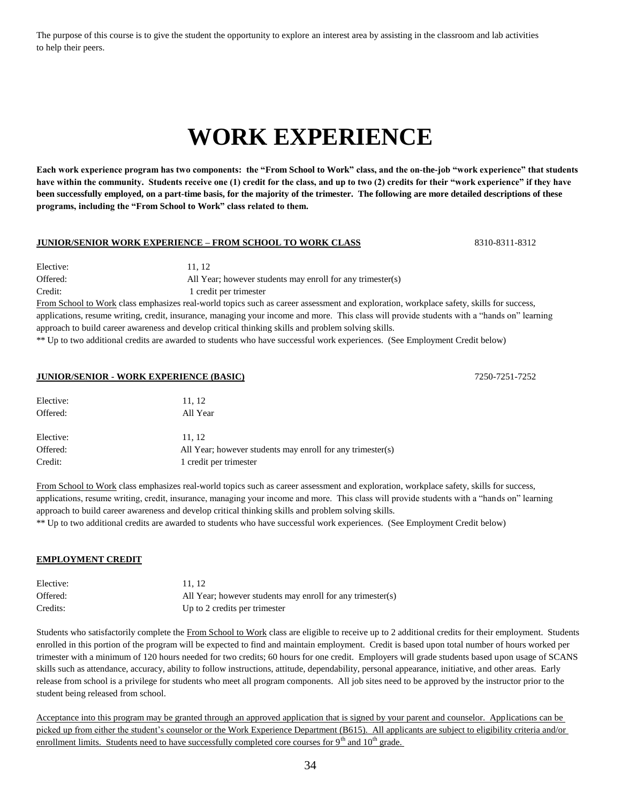The purpose of this course is to give the student the opportunity to explore an interest area by assisting in the classroom and lab activities to help their peers.

# **WORK EXPERIENCE**

**Each work experience program has two components: the "From School to Work" class, and the on-the-job "work experience" that students have within the community. Students receive one (1) credit for the class, and up to two (2) credits for their "work experience" if they have been successfully employed, on a part-time basis, for the majority of the trimester. The following are more detailed descriptions of these programs, including the "From School to Work" class related to them.**

#### **JUNIOR/SENIOR WORK EXPERIENCE – FROM SCHOOL TO WORK CLASS** 8310-8311-8312

| Elective: | 11.12                                                                                            |
|-----------|--------------------------------------------------------------------------------------------------|
| Offered:  | All Year; however students may enroll for any trimester(s)                                       |
| Credit:   | 1 credit per trimester                                                                           |
|           | From School to Work class emphasizes real-world topics such as career assessment and exploration |

 $\underline{k}$  class emphasizes real-world topics such as career assessment and exploration, workplace safety, skills for success, applications, resume writing, credit, insurance, managing your income and more. This class will provide students with a "hands on" learning approach to build career awareness and develop critical thinking skills and problem solving skills.

\*\* Up to two additional credits are awarded to students who have successful work experiences. (See Employment Credit below)

#### **JUNIOR/SENIOR - WORK EXPERIENCE (BASIC)** 7250-7251-7252

| Elective: | 11, 12                                                     |
|-----------|------------------------------------------------------------|
| Offered:  | All Year                                                   |
|           |                                                            |
| Elective: | 11.12                                                      |
| Offered:  | All Year; however students may enroll for any trimester(s) |
| Credit:   | 1 credit per trimester                                     |

From School to Work class emphasizes real-world topics such as career assessment and exploration, workplace safety, skills for success, applications, resume writing, credit, insurance, managing your income and more. This class will provide students with a "hands on" learning approach to build career awareness and develop critical thinking skills and problem solving skills.

\*\* Up to two additional credits are awarded to students who have successful work experiences. (See Employment Credit below)

#### **EMPLOYMENT CREDIT**

| Elective: | 11.12                                                      |
|-----------|------------------------------------------------------------|
| Offered:  | All Year; however students may enroll for any trimester(s) |
| Credits:  | Up to 2 credits per trimester                              |

Students who satisfactorily complete the From School to Work class are eligible to receive up to 2 additional credits for their employment. Students enrolled in this portion of the program will be expected to find and maintain employment. Credit is based upon total number of hours worked per trimester with a minimum of 120 hours needed for two credits; 60 hours for one credit. Employers will grade students based upon usage of SCANS skills such as attendance, accuracy, ability to follow instructions, attitude, dependability, personal appearance, initiative, and other areas. Early release from school is a privilege for students who meet all program components. All job sites need to be approved by the instructor prior to the student being released from school.

Acceptance into this program may be granted through an approved application that is signed by your parent and counselor. Applications can be picked up from either the student's counselor or the Work Experience Department (B615). All applicants are subject to eligibility criteria and/or enrollment limits. Students need to have successfully completed core courses for  $9<sup>th</sup>$  and  $10<sup>th</sup>$  grade.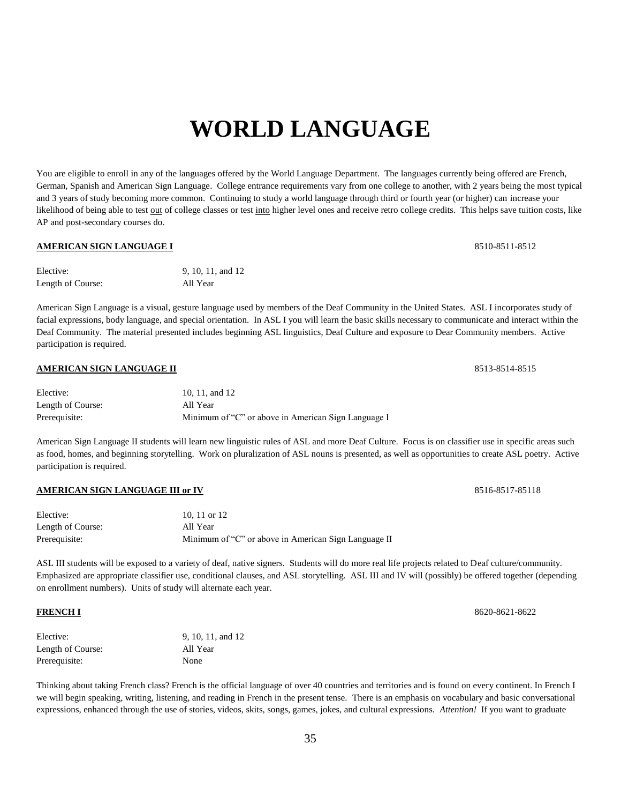# **WORLD LANGUAGE**

You are eligible to enroll in any of the languages offered by the World Language Department. The languages currently being offered are French, German, Spanish and American Sign Language. College entrance requirements vary from one college to another, with 2 years being the most typical and 3 years of study becoming more common. Continuing to study a world language through third or fourth year (or higher) can increase your likelihood of being able to test out of college classes or test into higher level ones and receive retro college credits. This helps save tuition costs, like AP and post-secondary courses do.

#### **AMERICAN SIGN LANGUAGE I** 8510-8511-8512

| Elective:         | 9, 10, 11, and 12 |
|-------------------|-------------------|
| Length of Course: | All Year          |

American Sign Language is a visual, gesture language used by members of the Deaf Community in the United States. ASL I incorporates study of facial expressions, body language, and special orientation. In ASL I you will learn the basic skills necessary to communicate and interact within the Deaf Community. The material presented includes beginning ASL linguistics, Deaf Culture and exposure to Dear Community members. Active participation is required.

### **AMERICAN SIGN LANGUAGE II** 8513-8514-8515

| Elective:         | 10, 11, and 12                                      |
|-------------------|-----------------------------------------------------|
| Length of Course: | All Year                                            |
| Prerequisite:     | Minimum of "C" or above in American Sign Language I |

American Sign Language II students will learn new linguistic rules of ASL and more Deaf Culture. Focus is on classifier use in specific areas such as food, homes, and beginning storytelling. Work on pluralization of ASL nouns is presented, as well as opportunities to create ASL poetry. Active participation is required.

#### **AMERICAN SIGN LANGUAGE III or IV** 8516-8517-85118

| Elective:         | 10. 11 or $12$                                       |
|-------------------|------------------------------------------------------|
| Length of Course: | All Year                                             |
| Prerequisite:     | Minimum of "C" or above in American Sign Language II |

ASL III students will be exposed to a variety of deaf, native signers. Students will do more real life projects related to Deaf culture/community. Emphasized are appropriate classifier use, conditional clauses, and ASL storytelling. ASL III and IV will (possibly) be offered together (depending on enrollment numbers). Units of study will alternate each year.

| Elective:         | 9, 10, 11, and 12 |
|-------------------|-------------------|
| Length of Course: | All Year          |
| Prerequisite:     | None              |

Thinking about taking French class? French is the official language of over 40 countries and territories and is found on every continent. In French I we will begin speaking, writing, listening, and reading in French in the present tense. There is an emphasis on vocabulary and basic conversational expressions, enhanced through the use of stories, videos, skits, songs, games, jokes, and cultural expressions. *Attention!* If you want to graduate

**FRENCH I** 8620-8621-8622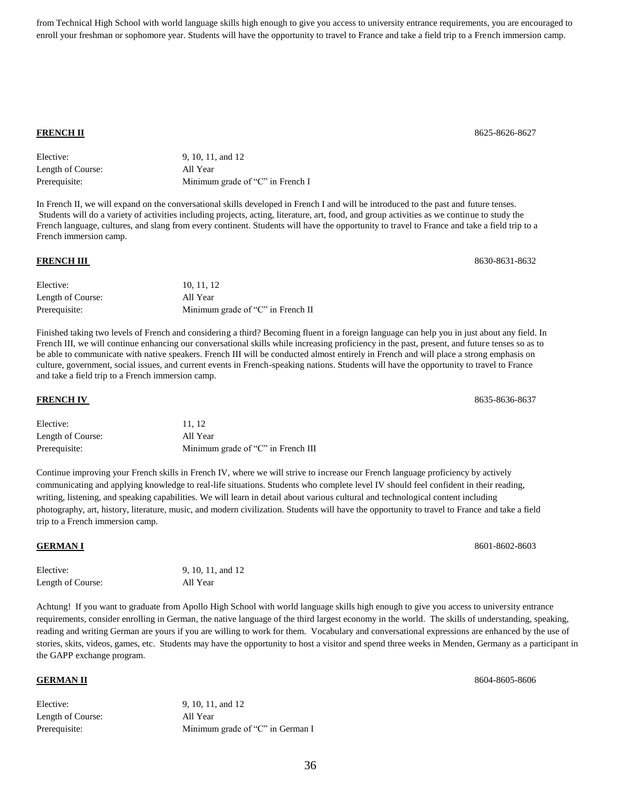from Technical High School with world language skills high enough to give you access to university entrance requirements, you are encouraged to enroll your freshman or sophomore year. Students will have the opportunity to travel to France and take a field trip to a French immersion camp.

#### **FRENCH II** 8625-8626-8627

| Elective:         | 9, 10, 11, and 12                |
|-------------------|----------------------------------|
| Length of Course: | All Year                         |
| Prerequisite:     | Minimum grade of "C" in French I |

In French II, we will expand on the conversational skills developed in French I and will be introduced to the past and future tenses. Students will do a variety of activities including projects, acting, literature, art, food, and group activities as we continue to study the French language, cultures, and slang from every continent. Students will have the opportunity to travel to France and take a field trip to a French immersion camp.

| Elective:         | 10.11.12                          |
|-------------------|-----------------------------------|
| Length of Course: | All Year                          |
| Prerequisite:     | Minimum grade of "C" in French II |

Finished taking two levels of French and considering a third? Becoming fluent in a foreign language can help you in just about any field. In French III, we will continue enhancing our conversational skills while increasing proficiency in the past, present, and future tenses so as to be able to communicate with native speakers. French III will be conducted almost entirely in French and will place a strong emphasis on culture, government, social issues, and current events in French-speaking nations. Students will have the opportunity to travel to France and take a field trip to a French immersion camp.

| Elective:         | 11.12                              |
|-------------------|------------------------------------|
| Length of Course: | All Year                           |
| Prerequisite:     | Minimum grade of "C" in French III |

Continue improving your French skills in French IV, where we will strive to increase our French language proficiency by actively communicating and applying knowledge to real-life situations. Students who complete level IV should feel confident in their reading, writing, listening, and speaking capabilities. We will learn in detail about various cultural and technological content including photography, art, history, literature, music, and modern civilization. Students will have the opportunity to travel to France and take a field trip to a French immersion camp.

#### **GERMAN I** 8601-8602-8603

| Elective:         | 9, 10, 11, and 12 |
|-------------------|-------------------|
| Length of Course: | All Year          |

Achtung! If you want to graduate from Apollo High School with world language skills high enough to give you access to university entrance requirements, consider enrolling in German, the native language of the third largest economy in the world. The skills of understanding, speaking, reading and writing German are yours if you are willing to work for them. Vocabulary and conversational expressions are enhanced by the use of stories, skits, videos, games, etc. Students may have the opportunity to host a visitor and spend three weeks in Menden, Germany as a participant in the GAPP exchange program.

| Elective:         | 9, 10, 11, and 12                |
|-------------------|----------------------------------|
| Length of Course: | All Year                         |
| Prerequisite:     | Minimum grade of "C" in German I |

**FRENCH III** 8630-8631-8632

**FRENCH IV** 8635-8636-8637

**GERMAN II** 8604-8605-8606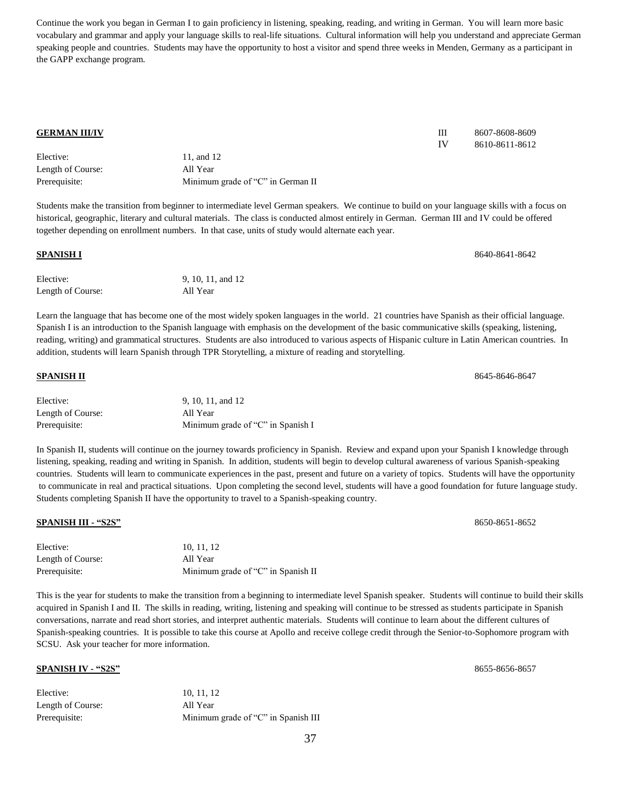Continue the work you began in German I to gain proficiency in listening, speaking, reading, and writing in German. You will learn more basic vocabulary and grammar and apply your language skills to real-life situations. Cultural information will help you understand and appreciate German speaking people and countries. Students may have the opportunity to host a visitor and spend three weeks in Menden, Germany as a participant in the GAPP exchange program.

| <b>GERMAN III/IV</b> |                                                                                                                                                | Ш  | 8607-8608-8609 |
|----------------------|------------------------------------------------------------------------------------------------------------------------------------------------|----|----------------|
|                      |                                                                                                                                                | IV | 8610-8611-8612 |
| Elective:            | 11, and 12                                                                                                                                     |    |                |
| Length of Course:    | All Year                                                                                                                                       |    |                |
| Prerequisite:        | Minimum grade of "C" in German II                                                                                                              |    |                |
|                      | Students make the transition from beginner to intermediate level German speakers. We continue to build on your language skills with a focus on |    |                |
|                      | historical, geographic, literary and cultural materials. The class is conducted almost entirely in German. German III and IV could be offered  |    |                |
|                      | together depending on enrollment numbers. In that case, units of study would alternate each year.                                              |    |                |

| <b>SPANISH I</b>  |                   | 8640-8641-8642 |
|-------------------|-------------------|----------------|
| Elective:         | 9, 10, 11, and 12 |                |
| Length of Course: | All Year          |                |
|                   |                   |                |

Learn the language that has become one of the most widely spoken languages in the world. 21 countries have Spanish as their official language. Spanish I is an introduction to the Spanish language with emphasis on the development of the basic communicative skills (speaking, listening, reading, writing) and grammatical structures. Students are also introduced to various aspects of Hispanic culture in Latin American countries. In addition, students will learn Spanish through TPR Storytelling, a mixture of reading and storytelling.

### **SPANISH II** 8645-8646-8647 Elective: 9, 10, 11, and 12 Length of Course: All Year Prerequisite: Minimum grade of "C" in Spanish I

In Spanish II, students will continue on the journey towards proficiency in Spanish. Review and expand upon your Spanish I knowledge through listening, speaking, reading and writing in Spanish. In addition, students will begin to develop cultural awareness of various Spanish-speaking countries. Students will learn to communicate experiences in the past, present and future on a variety of topics. Students will have the opportunity to communicate in real and practical situations. Upon completing the second level, students will have a good foundation for future language study. Students completing Spanish II have the opportunity to travel to a Spanish-speaking country.

#### **SPANISH III - "S2S"** 8650-8651-8652

| Elective:         | 10.11.12                           |
|-------------------|------------------------------------|
| Length of Course: | All Year                           |
| Prerequisite:     | Minimum grade of "C" in Spanish II |

This is the year for students to make the transition from a beginning to intermediate level Spanish speaker. Students will continue to build their skills acquired in Spanish I and II. The skills in reading, writing, listening and speaking will continue to be stressed as students participate in Spanish conversations, narrate and read short stories, and interpret authentic materials. Students will continue to learn about the different cultures of Spanish-speaking countries. It is possible to take this course at Apollo and receive college credit through the Senior-to-Sophomore program with SCSU. Ask your teacher for more information.

#### **SPANISH IV - "S2S"** 8655-8656-8657

| Elective:         | 10.11.12                            |
|-------------------|-------------------------------------|
| Length of Course: | All Year                            |
| Prerequisite:     | Minimum grade of "C" in Spanish III |